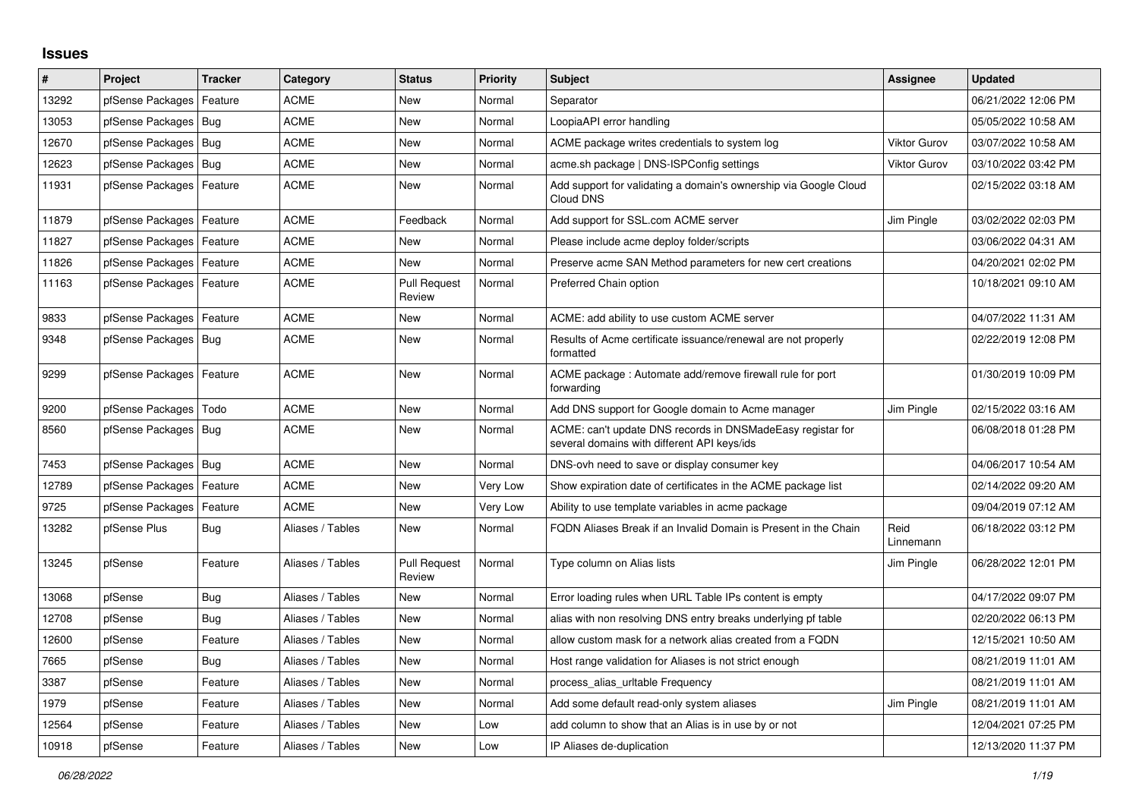## **Issues**

| #     | Project                | <b>Tracker</b> | Category         | <b>Status</b>                 | <b>Priority</b> | <b>Subject</b>                                                                                            | Assignee            | <b>Updated</b>      |
|-------|------------------------|----------------|------------------|-------------------------------|-----------------|-----------------------------------------------------------------------------------------------------------|---------------------|---------------------|
| 13292 | pfSense Packages       | Feature        | <b>ACME</b>      | <b>New</b>                    | Normal          | Separator                                                                                                 |                     | 06/21/2022 12:06 PM |
| 13053 | pfSense Packages       | Bug            | <b>ACME</b>      | <b>New</b>                    | Normal          | LoopiaAPI error handling                                                                                  |                     | 05/05/2022 10:58 AM |
| 12670 | pfSense Packages       | Bug            | <b>ACME</b>      | New                           | Normal          | ACME package writes credentials to system log                                                             | <b>Viktor Gurov</b> | 03/07/2022 10:58 AM |
| 12623 | pfSense Packages       | Bug            | ACME             | <b>New</b>                    | Normal          | acme.sh package   DNS-ISPConfig settings                                                                  | <b>Viktor Gurov</b> | 03/10/2022 03:42 PM |
| 11931 | pfSense Packages       | Feature        | <b>ACME</b>      | <b>New</b>                    | Normal          | Add support for validating a domain's ownership via Google Cloud<br>Cloud DNS                             |                     | 02/15/2022 03:18 AM |
| 11879 | pfSense Packages       | Feature        | <b>ACME</b>      | Feedback                      | Normal          | Add support for SSL.com ACME server                                                                       | Jim Pingle          | 03/02/2022 02:03 PM |
| 11827 | pfSense Packages       | Feature        | <b>ACME</b>      | <b>New</b>                    | Normal          | Please include acme deploy folder/scripts                                                                 |                     | 03/06/2022 04:31 AM |
| 11826 | pfSense Packages       | Feature        | <b>ACME</b>      | <b>New</b>                    | Normal          | Preserve acme SAN Method parameters for new cert creations                                                |                     | 04/20/2021 02:02 PM |
| 11163 | pfSense Packages       | Feature        | ACME             | <b>Pull Request</b><br>Review | Normal          | Preferred Chain option                                                                                    |                     | 10/18/2021 09:10 AM |
| 9833  | pfSense Packages       | Feature        | ACME             | <b>New</b>                    | Normal          | ACME: add ability to use custom ACME server                                                               |                     | 04/07/2022 11:31 AM |
| 9348  | pfSense Packages       | Bug            | <b>ACME</b>      | New                           | Normal          | Results of Acme certificate issuance/renewal are not properly<br>formatted                                |                     | 02/22/2019 12:08 PM |
| 9299  | pfSense Packages       | Feature        | <b>ACME</b>      | <b>New</b>                    | Normal          | ACME package : Automate add/remove firewall rule for port<br>forwarding                                   |                     | 01/30/2019 10:09 PM |
| 9200  | pfSense Packages       | Todo           | <b>ACME</b>      | <b>New</b>                    | Normal          | Add DNS support for Google domain to Acme manager                                                         | Jim Pingle          | 02/15/2022 03:16 AM |
| 8560  | pfSense Packages       | Bug            | <b>ACME</b>      | <b>New</b>                    | Normal          | ACME: can't update DNS records in DNSMadeEasy registar for<br>several domains with different API keys/ids |                     | 06/08/2018 01:28 PM |
| 7453  | pfSense Packages   Bug |                | <b>ACME</b>      | <b>New</b>                    | Normal          | DNS-ovh need to save or display consumer key                                                              |                     | 04/06/2017 10:54 AM |
| 12789 | pfSense Packages       | Feature        | <b>ACME</b>      | <b>New</b>                    | Very Low        | Show expiration date of certificates in the ACME package list                                             |                     | 02/14/2022 09:20 AM |
| 9725  | pfSense Packages       | Feature        | <b>ACME</b>      | New                           | Very Low        | Ability to use template variables in acme package                                                         |                     | 09/04/2019 07:12 AM |
| 13282 | pfSense Plus           | <b>Bug</b>     | Aliases / Tables | <b>New</b>                    | Normal          | FQDN Aliases Break if an Invalid Domain is Present in the Chain                                           | Reid<br>Linnemann   | 06/18/2022 03:12 PM |
| 13245 | pfSense                | Feature        | Aliases / Tables | <b>Pull Request</b><br>Review | Normal          | Type column on Alias lists                                                                                | Jim Pingle          | 06/28/2022 12:01 PM |
| 13068 | pfSense                | <b>Bug</b>     | Aliases / Tables | <b>New</b>                    | Normal          | Error loading rules when URL Table IPs content is empty                                                   |                     | 04/17/2022 09:07 PM |
| 12708 | pfSense                | Bug            | Aliases / Tables | <b>New</b>                    | Normal          | alias with non resolving DNS entry breaks underlying pf table                                             |                     | 02/20/2022 06:13 PM |
| 12600 | pfSense                | Feature        | Aliases / Tables | <b>New</b>                    | Normal          | allow custom mask for a network alias created from a FQDN                                                 |                     | 12/15/2021 10:50 AM |
| 7665  | pfSense                | <b>Bug</b>     | Aliases / Tables | <b>New</b>                    | Normal          | Host range validation for Aliases is not strict enough                                                    |                     | 08/21/2019 11:01 AM |
| 3387  | pfSense                | Feature        | Aliases / Tables | <b>New</b>                    | Normal          | process alias urltable Frequency                                                                          |                     | 08/21/2019 11:01 AM |
| 1979  | pfSense                | Feature        | Aliases / Tables | New                           | Normal          | Add some default read-only system aliases                                                                 | Jim Pingle          | 08/21/2019 11:01 AM |
| 12564 | pfSense                | Feature        | Aliases / Tables | <b>New</b>                    | Low             | add column to show that an Alias is in use by or not                                                      |                     | 12/04/2021 07:25 PM |
| 10918 | pfSense                | Feature        | Aliases / Tables | <b>New</b>                    | Low             | IP Aliases de-duplication                                                                                 |                     | 12/13/2020 11:37 PM |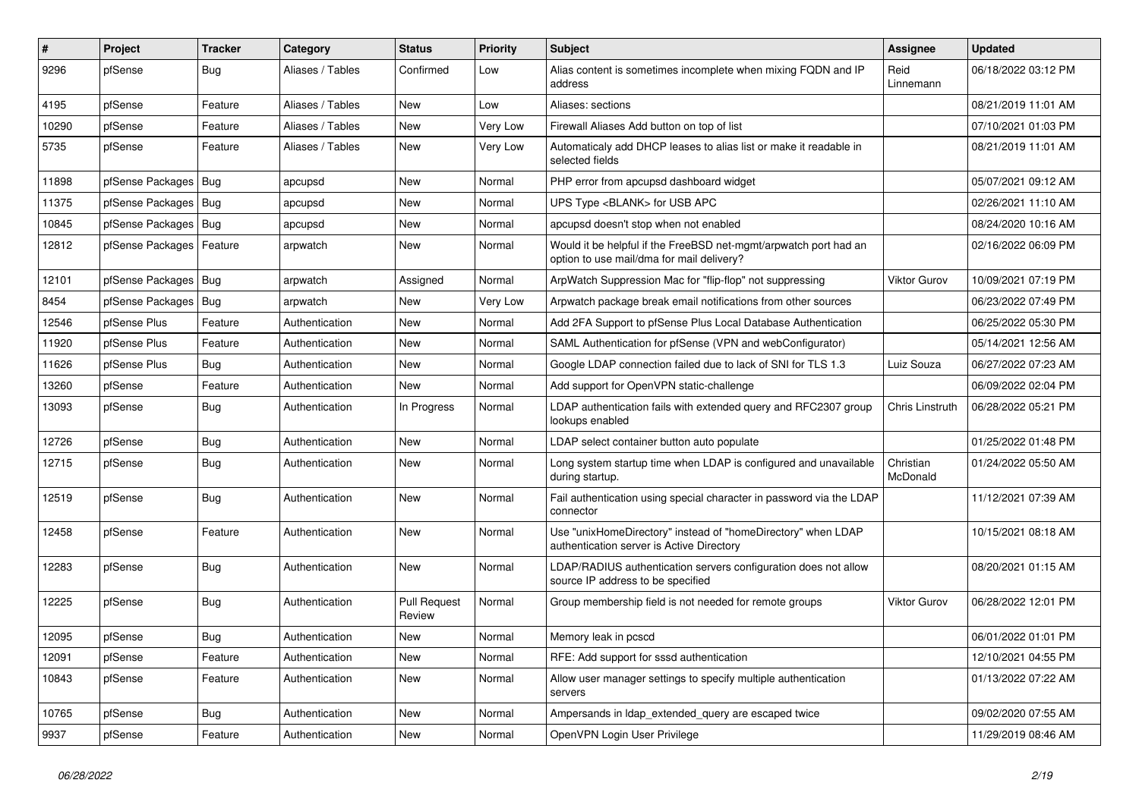| ∦     | Project          | <b>Tracker</b> | Category         | <b>Status</b>          | <b>Priority</b> | Subject                                                                                                       | <b>Assignee</b>       | <b>Updated</b>      |
|-------|------------------|----------------|------------------|------------------------|-----------------|---------------------------------------------------------------------------------------------------------------|-----------------------|---------------------|
| 9296  | pfSense          | <b>Bug</b>     | Aliases / Tables | Confirmed              | Low             | Alias content is sometimes incomplete when mixing FQDN and IP<br>address                                      | Reid<br>Linnemann     | 06/18/2022 03:12 PM |
| 4195  | pfSense          | Feature        | Aliases / Tables | New                    | Low             | Aliases: sections                                                                                             |                       | 08/21/2019 11:01 AM |
| 10290 | pfSense          | Feature        | Aliases / Tables | New                    | Very Low        | Firewall Aliases Add button on top of list                                                                    |                       | 07/10/2021 01:03 PM |
| 5735  | pfSense          | Feature        | Aliases / Tables | <b>New</b>             | Very Low        | Automaticaly add DHCP leases to alias list or make it readable in<br>selected fields                          |                       | 08/21/2019 11:01 AM |
| 11898 | pfSense Packages | Bug            | apcupsd          | New                    | Normal          | PHP error from apcupsd dashboard widget                                                                       |                       | 05/07/2021 09:12 AM |
| 11375 | pfSense Packages | Bug            | apcupsd          | New                    | Normal          | UPS Type <blank> for USB APC</blank>                                                                          |                       | 02/26/2021 11:10 AM |
| 10845 | pfSense Packages | Bug            | apcupsd          | New                    | Normal          | apcupsd doesn't stop when not enabled                                                                         |                       | 08/24/2020 10:16 AM |
| 12812 | pfSense Packages | Feature        | arpwatch         | New                    | Normal          | Would it be helpful if the FreeBSD net-mgmt/arpwatch port had an<br>option to use mail/dma for mail delivery? |                       | 02/16/2022 06:09 PM |
| 12101 | pfSense Packages | Bug            | arpwatch         | Assigned               | Normal          | ArpWatch Suppression Mac for "flip-flop" not suppressing                                                      | <b>Viktor Gurov</b>   | 10/09/2021 07:19 PM |
| 8454  | pfSense Packages | Bug            | arpwatch         | <b>New</b>             | Very Low        | Arpwatch package break email notifications from other sources                                                 |                       | 06/23/2022 07:49 PM |
| 12546 | pfSense Plus     | Feature        | Authentication   | New                    | Normal          | Add 2FA Support to pfSense Plus Local Database Authentication                                                 |                       | 06/25/2022 05:30 PM |
| 11920 | pfSense Plus     | Feature        | Authentication   | New                    | Normal          | SAML Authentication for pfSense (VPN and webConfigurator)                                                     |                       | 05/14/2021 12:56 AM |
| 11626 | pfSense Plus     | <b>Bug</b>     | Authentication   | New                    | Normal          | Google LDAP connection failed due to lack of SNI for TLS 1.3                                                  | Luiz Souza            | 06/27/2022 07:23 AM |
| 13260 | pfSense          | Feature        | Authentication   | New                    | Normal          | Add support for OpenVPN static-challenge                                                                      |                       | 06/09/2022 02:04 PM |
| 13093 | pfSense          | Bug            | Authentication   | In Progress            | Normal          | LDAP authentication fails with extended query and RFC2307 group<br>lookups enabled                            | Chris Linstruth       | 06/28/2022 05:21 PM |
| 12726 | pfSense          | Bug            | Authentication   | <b>New</b>             | Normal          | LDAP select container button auto populate                                                                    |                       | 01/25/2022 01:48 PM |
| 12715 | pfSense          | <b>Bug</b>     | Authentication   | New                    | Normal          | Long system startup time when LDAP is configured and unavailable<br>during startup.                           | Christian<br>McDonald | 01/24/2022 05:50 AM |
| 12519 | pfSense          | Bug            | Authentication   | <b>New</b>             | Normal          | Fail authentication using special character in password via the LDAP<br>connector                             |                       | 11/12/2021 07:39 AM |
| 12458 | pfSense          | Feature        | Authentication   | <b>New</b>             | Normal          | Use "unixHomeDirectory" instead of "homeDirectory" when LDAP<br>authentication server is Active Directory     |                       | 10/15/2021 08:18 AM |
| 12283 | pfSense          | Bug            | Authentication   | <b>New</b>             | Normal          | LDAP/RADIUS authentication servers configuration does not allow<br>source IP address to be specified          |                       | 08/20/2021 01:15 AM |
| 12225 | pfSense          | Bug            | Authentication   | Pull Request<br>Review | Normal          | Group membership field is not needed for remote groups                                                        | Viktor Gurov          | 06/28/2022 12:01 PM |
| 12095 | pfSense          | Bug            | Authentication   | New                    | Normal          | Memory leak in pcscd                                                                                          |                       | 06/01/2022 01:01 PM |
| 12091 | pfSense          | Feature        | Authentication   | New                    | Normal          | RFE: Add support for sssd authentication                                                                      |                       | 12/10/2021 04:55 PM |
| 10843 | pfSense          | Feature        | Authentication   | New                    | Normal          | Allow user manager settings to specify multiple authentication<br>servers                                     |                       | 01/13/2022 07:22 AM |
| 10765 | pfSense          | <b>Bug</b>     | Authentication   | New                    | Normal          | Ampersands in Idap_extended_query are escaped twice                                                           |                       | 09/02/2020 07:55 AM |
| 9937  | pfSense          | Feature        | Authentication   | New                    | Normal          | OpenVPN Login User Privilege                                                                                  |                       | 11/29/2019 08:46 AM |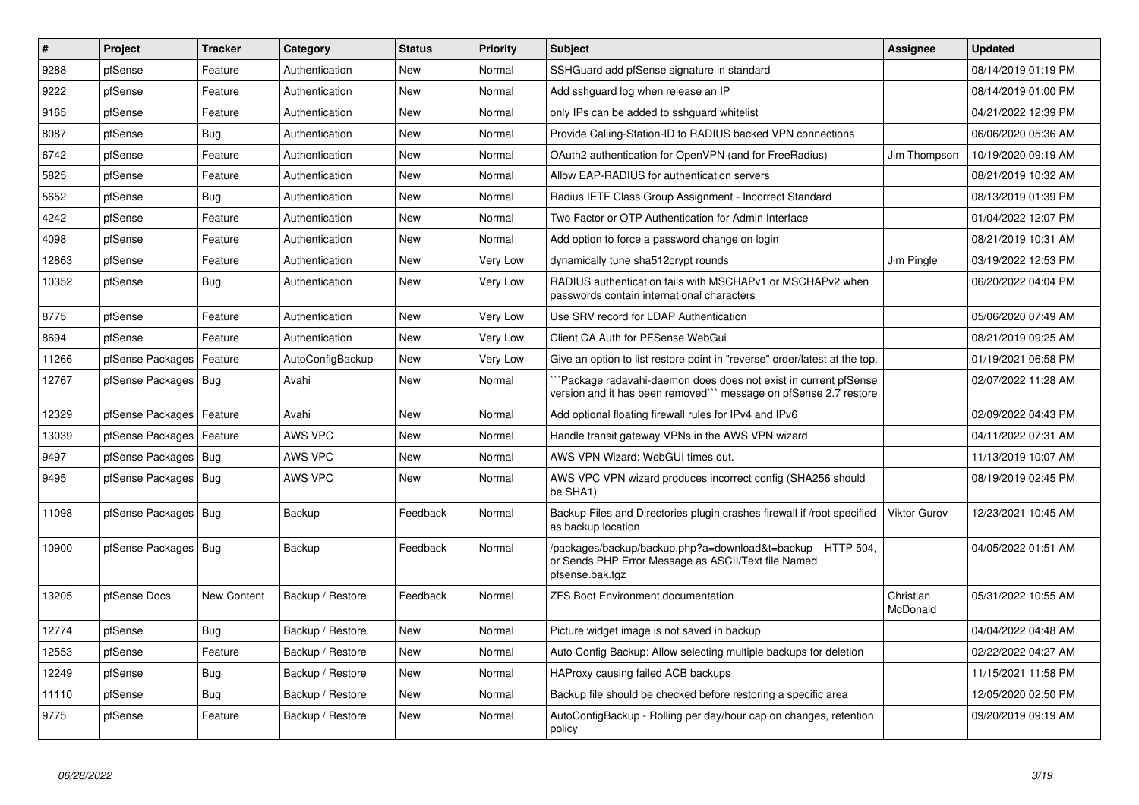| $\vert$ # | Project                    | <b>Tracker</b>     | Category         | <b>Status</b> | <b>Priority</b> | <b>Subject</b>                                                                                                                      | <b>Assignee</b>       | <b>Updated</b>      |
|-----------|----------------------------|--------------------|------------------|---------------|-----------------|-------------------------------------------------------------------------------------------------------------------------------------|-----------------------|---------------------|
| 9288      | pfSense                    | Feature            | Authentication   | New           | Normal          | SSHGuard add pfSense signature in standard                                                                                          |                       | 08/14/2019 01:19 PM |
| 9222      | pfSense                    | Feature            | Authentication   | <b>New</b>    | Normal          | Add sshguard log when release an IP                                                                                                 |                       | 08/14/2019 01:00 PM |
| 9165      | pfSense                    | Feature            | Authentication   | <b>New</b>    | Normal          | only IPs can be added to sshguard whitelist                                                                                         |                       | 04/21/2022 12:39 PM |
| 8087      | pfSense                    | <b>Bug</b>         | Authentication   | <b>New</b>    | Normal          | Provide Calling-Station-ID to RADIUS backed VPN connections                                                                         |                       | 06/06/2020 05:36 AM |
| 6742      | pfSense                    | Feature            | Authentication   | <b>New</b>    | Normal          | OAuth2 authentication for OpenVPN (and for FreeRadius)                                                                              | Jim Thompson          | 10/19/2020 09:19 AM |
| 5825      | pfSense                    | Feature            | Authentication   | <b>New</b>    | Normal          | Allow EAP-RADIUS for authentication servers                                                                                         |                       | 08/21/2019 10:32 AM |
| 5652      | pfSense                    | Bug                | Authentication   | New           | Normal          | Radius IETF Class Group Assignment - Incorrect Standard                                                                             |                       | 08/13/2019 01:39 PM |
| 4242      | pfSense                    | Feature            | Authentication   | <b>New</b>    | Normal          | Two Factor or OTP Authentication for Admin Interface                                                                                |                       | 01/04/2022 12:07 PM |
| 4098      | pfSense                    | Feature            | Authentication   | New           | Normal          | Add option to force a password change on login                                                                                      |                       | 08/21/2019 10:31 AM |
| 12863     | pfSense                    | Feature            | Authentication   | <b>New</b>    | Very Low        | dynamically tune sha512crypt rounds                                                                                                 | Jim Pingle            | 03/19/2022 12:53 PM |
| 10352     | pfSense                    | <b>Bug</b>         | Authentication   | New           | Very Low        | RADIUS authentication fails with MSCHAPv1 or MSCHAPv2 when<br>passwords contain international characters                            |                       | 06/20/2022 04:04 PM |
| 8775      | pfSense                    | Feature            | Authentication   | <b>New</b>    | Very Low        | Use SRV record for LDAP Authentication                                                                                              |                       | 05/06/2020 07:49 AM |
| 8694      | pfSense                    | Feature            | Authentication   | New           | Very Low        | Client CA Auth for PFSense WebGui                                                                                                   |                       | 08/21/2019 09:25 AM |
| 11266     | pfSense Packages           | Feature            | AutoConfigBackup | <b>New</b>    | Very Low        | Give an option to list restore point in "reverse" order/latest at the top.                                                          |                       | 01/19/2021 06:58 PM |
| 12767     | pfSense Packages   Bug     |                    | Avahi            | New           | Normal          | Package radavahi-daemon does does not exist in current pfSense<br>version and it has been removed``` message on pfSense 2.7 restore |                       | 02/07/2022 11:28 AM |
| 12329     | pfSense Packages   Feature |                    | Avahi            | <b>New</b>    | Normal          | Add optional floating firewall rules for IPv4 and IPv6                                                                              |                       | 02/09/2022 04:43 PM |
| 13039     | pfSense Packages   Feature |                    | AWS VPC          | <b>New</b>    | Normal          | Handle transit gateway VPNs in the AWS VPN wizard                                                                                   |                       | 04/11/2022 07:31 AM |
| 9497      | pfSense Packages   Bug     |                    | AWS VPC          | New           | Normal          | AWS VPN Wizard: WebGUI times out.                                                                                                   |                       | 11/13/2019 10:07 AM |
| 9495      | pfSense Packages   Bug     |                    | AWS VPC          | <b>New</b>    | Normal          | AWS VPC VPN wizard produces incorrect config (SHA256 should<br>be SHA1)                                                             |                       | 08/19/2019 02:45 PM |
| 11098     | pfSense Packages   Bug     |                    | Backup           | Feedback      | Normal          | Backup Files and Directories plugin crashes firewall if /root specified<br>as backup location                                       | <b>Viktor Gurov</b>   | 12/23/2021 10:45 AM |
| 10900     | pfSense Packages   Bug     |                    | Backup           | Feedback      | Normal          | /packages/backup/backup.php?a=download&t=backup HTTP 504,<br>or Sends PHP Error Message as ASCII/Text file Named<br>pfsense.bak.tgz |                       | 04/05/2022 01:51 AM |
| 13205     | pfSense Docs               | <b>New Content</b> | Backup / Restore | Feedback      | Normal          | <b>ZFS Boot Environment documentation</b>                                                                                           | Christian<br>McDonald | 05/31/2022 10:55 AM |
| 12774     | pfSense                    | <b>Bug</b>         | Backup / Restore | New           | Normal          | Picture widget image is not saved in backup                                                                                         |                       | 04/04/2022 04:48 AM |
| 12553     | pfSense                    | Feature            | Backup / Restore | New           | Normal          | Auto Config Backup: Allow selecting multiple backups for deletion                                                                   |                       | 02/22/2022 04:27 AM |
| 12249     | pfSense                    | <b>Bug</b>         | Backup / Restore | New           | Normal          | HAProxy causing failed ACB backups                                                                                                  |                       | 11/15/2021 11:58 PM |
| 11110     | pfSense                    | Bug                | Backup / Restore | New           | Normal          | Backup file should be checked before restoring a specific area                                                                      |                       | 12/05/2020 02:50 PM |
| 9775      | pfSense                    | Feature            | Backup / Restore | <b>New</b>    | Normal          | AutoConfigBackup - Rolling per day/hour cap on changes, retention<br>policy                                                         |                       | 09/20/2019 09:19 AM |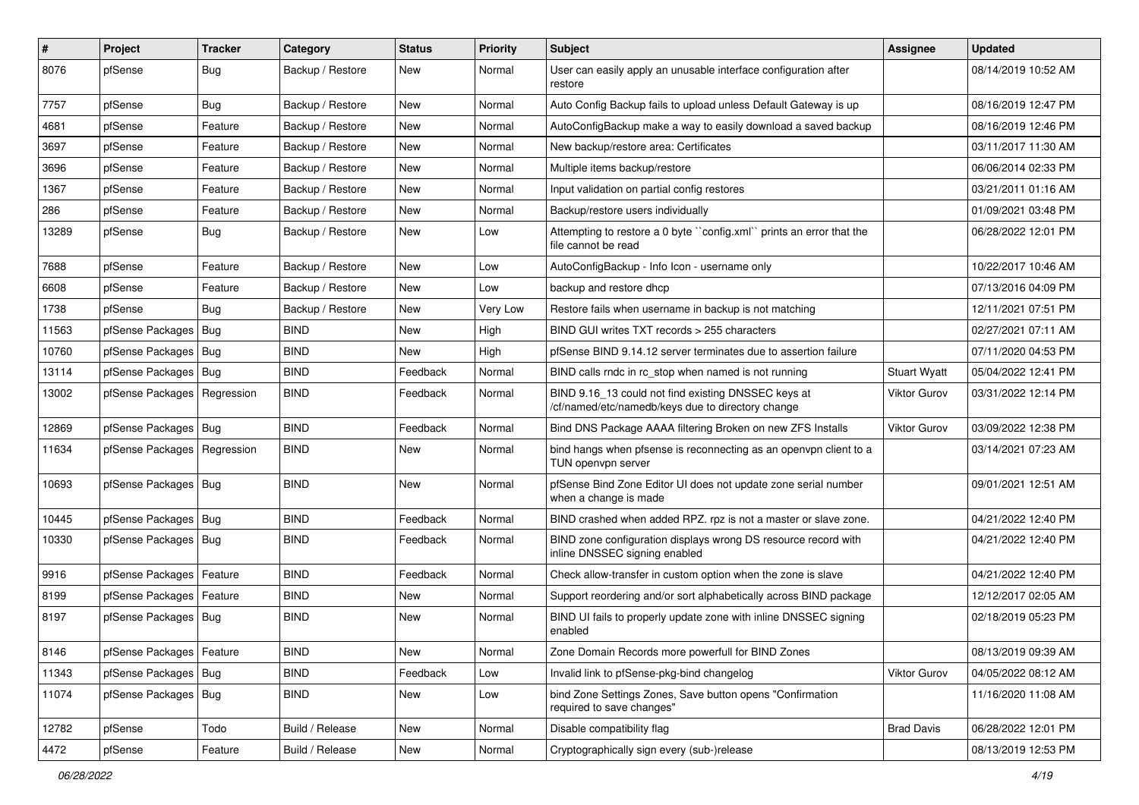| $\vert$ # | Project                       | <b>Tracker</b> | Category         | <b>Status</b> | <b>Priority</b> | Subject                                                                                                  | Assignee            | <b>Updated</b>      |
|-----------|-------------------------------|----------------|------------------|---------------|-----------------|----------------------------------------------------------------------------------------------------------|---------------------|---------------------|
| 8076      | pfSense                       | <b>Bug</b>     | Backup / Restore | New           | Normal          | User can easily apply an unusable interface configuration after<br>restore                               |                     | 08/14/2019 10:52 AM |
| 7757      | pfSense                       | Bug            | Backup / Restore | New           | Normal          | Auto Config Backup fails to upload unless Default Gateway is up                                          |                     | 08/16/2019 12:47 PM |
| 4681      | pfSense                       | Feature        | Backup / Restore | New           | Normal          | AutoConfigBackup make a way to easily download a saved backup                                            |                     | 08/16/2019 12:46 PM |
| 3697      | pfSense                       | Feature        | Backup / Restore | New           | Normal          | New backup/restore area: Certificates                                                                    |                     | 03/11/2017 11:30 AM |
| 3696      | pfSense                       | Feature        | Backup / Restore | New           | Normal          | Multiple items backup/restore                                                                            |                     | 06/06/2014 02:33 PM |
| 1367      | pfSense                       | Feature        | Backup / Restore | New           | Normal          | Input validation on partial config restores                                                              |                     | 03/21/2011 01:16 AM |
| 286       | pfSense                       | Feature        | Backup / Restore | New           | Normal          | Backup/restore users individually                                                                        |                     | 01/09/2021 03:48 PM |
| 13289     | pfSense                       | <b>Bug</b>     | Backup / Restore | New           | Low             | Attempting to restore a 0 byte "config.xml" prints an error that the<br>file cannot be read              |                     | 06/28/2022 12:01 PM |
| 7688      | pfSense                       | Feature        | Backup / Restore | New           | Low             | AutoConfigBackup - Info Icon - username only                                                             |                     | 10/22/2017 10:46 AM |
| 6608      | pfSense                       | Feature        | Backup / Restore | <b>New</b>    | Low             | backup and restore dhcp                                                                                  |                     | 07/13/2016 04:09 PM |
| 1738      | pfSense                       | <b>Bug</b>     | Backup / Restore | New           | Very Low        | Restore fails when username in backup is not matching                                                    |                     | 12/11/2021 07:51 PM |
| 11563     | pfSense Packages   Bug        |                | <b>BIND</b>      | <b>New</b>    | High            | BIND GUI writes TXT records > 255 characters                                                             |                     | 02/27/2021 07:11 AM |
| 10760     | pfSense Packages   Bug        |                | <b>BIND</b>      | New           | High            | pfSense BIND 9.14.12 server terminates due to assertion failure                                          |                     | 07/11/2020 04:53 PM |
| 13114     | pfSense Packages   Bug        |                | <b>BIND</b>      | Feedback      | Normal          | BIND calls rndc in rc_stop when named is not running                                                     | <b>Stuart Wyatt</b> | 05/04/2022 12:41 PM |
| 13002     | pfSense Packages   Regression |                | <b>BIND</b>      | Feedback      | Normal          | BIND 9.16_13 could not find existing DNSSEC keys at<br>/cf/named/etc/namedb/keys due to directory change | Viktor Gurov        | 03/31/2022 12:14 PM |
| 12869     | pfSense Packages   Bug        |                | <b>BIND</b>      | Feedback      | Normal          | Bind DNS Package AAAA filtering Broken on new ZFS Installs                                               | <b>Viktor Gurov</b> | 03/09/2022 12:38 PM |
| 11634     | pfSense Packages   Regression |                | <b>BIND</b>      | New           | Normal          | bind hangs when pfsense is reconnecting as an openypn client to a<br>TUN openvpn server                  |                     | 03/14/2021 07:23 AM |
| 10693     | pfSense Packages   Bug        |                | <b>BIND</b>      | New           | Normal          | pfSense Bind Zone Editor UI does not update zone serial number<br>when a change is made                  |                     | 09/01/2021 12:51 AM |
| 10445     | pfSense Packages   Bug        |                | <b>BIND</b>      | Feedback      | Normal          | BIND crashed when added RPZ. rpz is not a master or slave zone.                                          |                     | 04/21/2022 12:40 PM |
| 10330     | pfSense Packages   Bug        |                | <b>BIND</b>      | Feedback      | Normal          | BIND zone configuration displays wrong DS resource record with<br>inline DNSSEC signing enabled          |                     | 04/21/2022 12:40 PM |
| 9916      | pfSense Packages   Feature    |                | <b>BIND</b>      | Feedback      | Normal          | Check allow-transfer in custom option when the zone is slave                                             |                     | 04/21/2022 12:40 PM |
| 8199      | pfSense Packages   Feature    |                | <b>BIND</b>      | New           | Normal          | Support reordering and/or sort alphabetically across BIND package                                        |                     | 12/12/2017 02:05 AM |
| 8197      | pfSense Packages   Bug        |                | <b>BIND</b>      | New           | Normal          | BIND UI fails to properly update zone with inline DNSSEC signing<br>enabled                              |                     | 02/18/2019 05:23 PM |
| 8146      | pfSense Packages   Feature    |                | <b>BIND</b>      | New           | Normal          | Zone Domain Records more powerfull for BIND Zones                                                        |                     | 08/13/2019 09:39 AM |
| 11343     | pfSense Packages   Bug        |                | <b>BIND</b>      | Feedback      | Low             | Invalid link to pfSense-pkg-bind changelog                                                               | Viktor Gurov        | 04/05/2022 08:12 AM |
| 11074     | pfSense Packages   Bug        |                | <b>BIND</b>      | New           | Low             | bind Zone Settings Zones, Save button opens "Confirmation<br>required to save changes"                   |                     | 11/16/2020 11:08 AM |
| 12782     | pfSense                       | Todo           | Build / Release  | New           | Normal          | Disable compatibility flag                                                                               | <b>Brad Davis</b>   | 06/28/2022 12:01 PM |
| 4472      | pfSense                       | Feature        | Build / Release  | New           | Normal          | Cryptographically sign every (sub-)release                                                               |                     | 08/13/2019 12:53 PM |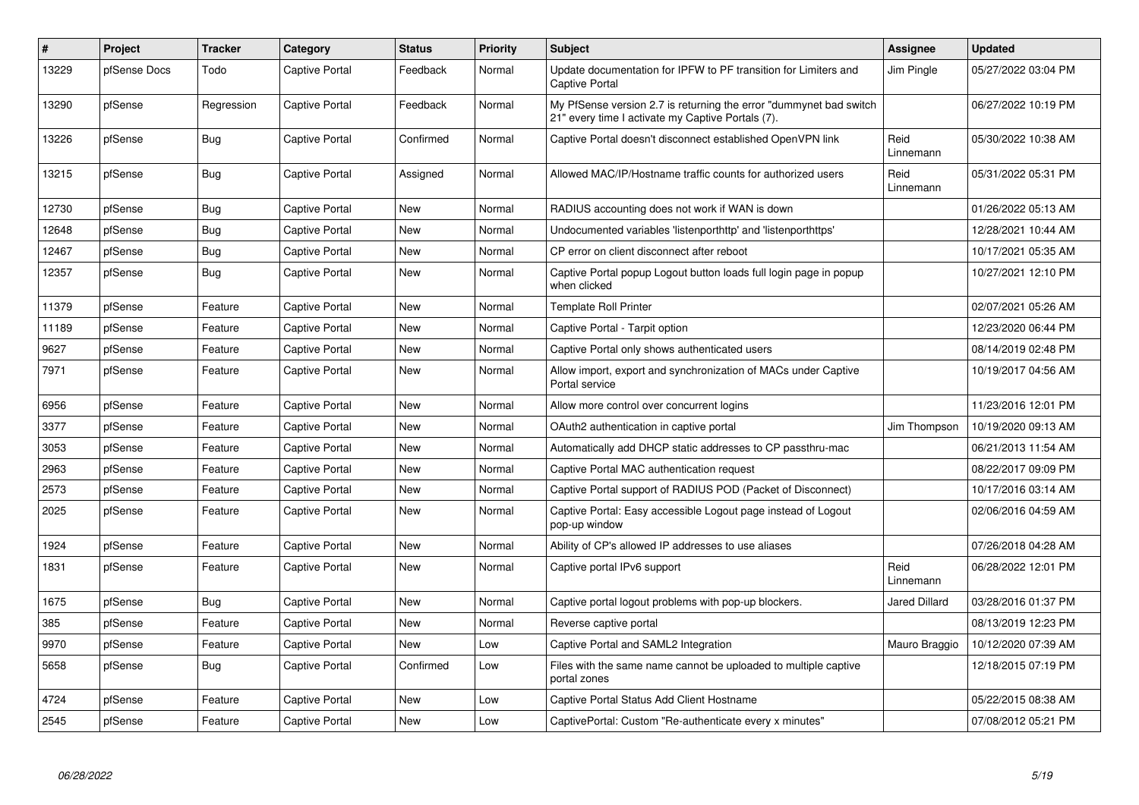| $\sharp$ | Project      | <b>Tracker</b> | Category       | <b>Status</b> | <b>Priority</b> | <b>Subject</b>                                                                                                          | <b>Assignee</b>   | <b>Updated</b>      |
|----------|--------------|----------------|----------------|---------------|-----------------|-------------------------------------------------------------------------------------------------------------------------|-------------------|---------------------|
| 13229    | pfSense Docs | Todo           | Captive Portal | Feedback      | Normal          | Update documentation for IPFW to PF transition for Limiters and<br><b>Captive Portal</b>                                | Jim Pingle        | 05/27/2022 03:04 PM |
| 13290    | pfSense      | Regression     | Captive Portal | Feedback      | Normal          | My PfSense version 2.7 is returning the error "dummynet bad switch<br>21" every time I activate my Captive Portals (7). |                   | 06/27/2022 10:19 PM |
| 13226    | pfSense      | Bug            | Captive Portal | Confirmed     | Normal          | Captive Portal doesn't disconnect established OpenVPN link                                                              | Reid<br>Linnemann | 05/30/2022 10:38 AM |
| 13215    | pfSense      | <b>Bug</b>     | Captive Portal | Assigned      | Normal          | Allowed MAC/IP/Hostname traffic counts for authorized users                                                             | Reid<br>Linnemann | 05/31/2022 05:31 PM |
| 12730    | pfSense      | <b>Bug</b>     | Captive Portal | New           | Normal          | RADIUS accounting does not work if WAN is down                                                                          |                   | 01/26/2022 05:13 AM |
| 12648    | pfSense      | <b>Bug</b>     | Captive Portal | New           | Normal          | Undocumented variables 'listenporthttp' and 'listenporthttps'                                                           |                   | 12/28/2021 10:44 AM |
| 12467    | pfSense      | <b>Bug</b>     | Captive Portal | New           | Normal          | CP error on client disconnect after reboot                                                                              |                   | 10/17/2021 05:35 AM |
| 12357    | pfSense      | <b>Bug</b>     | Captive Portal | <b>New</b>    | Normal          | Captive Portal popup Logout button loads full login page in popup<br>when clicked                                       |                   | 10/27/2021 12:10 PM |
| 11379    | pfSense      | Feature        | Captive Portal | <b>New</b>    | Normal          | <b>Template Roll Printer</b>                                                                                            |                   | 02/07/2021 05:26 AM |
| 11189    | pfSense      | Feature        | Captive Portal | <b>New</b>    | Normal          | Captive Portal - Tarpit option                                                                                          |                   | 12/23/2020 06:44 PM |
| 9627     | pfSense      | Feature        | Captive Portal | New           | Normal          | Captive Portal only shows authenticated users                                                                           |                   | 08/14/2019 02:48 PM |
| 7971     | pfSense      | Feature        | Captive Portal | New           | Normal          | Allow import, export and synchronization of MACs under Captive<br>Portal service                                        |                   | 10/19/2017 04:56 AM |
| 6956     | pfSense      | Feature        | Captive Portal | New           | Normal          | Allow more control over concurrent logins                                                                               |                   | 11/23/2016 12:01 PM |
| 3377     | pfSense      | Feature        | Captive Portal | New           | Normal          | OAuth2 authentication in captive portal                                                                                 | Jim Thompson      | 10/19/2020 09:13 AM |
| 3053     | pfSense      | Feature        | Captive Portal | New           | Normal          | Automatically add DHCP static addresses to CP passthru-mac                                                              |                   | 06/21/2013 11:54 AM |
| 2963     | pfSense      | Feature        | Captive Portal | New           | Normal          | Captive Portal MAC authentication request                                                                               |                   | 08/22/2017 09:09 PM |
| 2573     | pfSense      | Feature        | Captive Portal | New           | Normal          | Captive Portal support of RADIUS POD (Packet of Disconnect)                                                             |                   | 10/17/2016 03:14 AM |
| 2025     | pfSense      | Feature        | Captive Portal | New           | Normal          | Captive Portal: Easy accessible Logout page instead of Logout<br>pop-up window                                          |                   | 02/06/2016 04:59 AM |
| 1924     | pfSense      | Feature        | Captive Portal | New           | Normal          | Ability of CP's allowed IP addresses to use aliases                                                                     |                   | 07/26/2018 04:28 AM |
| 1831     | pfSense      | Feature        | Captive Portal | New           | Normal          | Captive portal IPv6 support                                                                                             | Reid<br>Linnemann | 06/28/2022 12:01 PM |
| 1675     | pfSense      | <b>Bug</b>     | Captive Portal | New           | Normal          | Captive portal logout problems with pop-up blockers.                                                                    | Jared Dillard     | 03/28/2016 01:37 PM |
| 385      | pfSense      | Feature        | Captive Portal | New           | Normal          | Reverse captive portal                                                                                                  |                   | 08/13/2019 12:23 PM |
| 9970     | pfSense      | Feature        | Captive Portal | New           | Low             | Captive Portal and SAML2 Integration                                                                                    | Mauro Braggio     | 10/12/2020 07:39 AM |
| 5658     | pfSense      | Bug            | Captive Portal | Confirmed     | Low             | Files with the same name cannot be uploaded to multiple captive<br>portal zones                                         |                   | 12/18/2015 07:19 PM |
| 4724     | pfSense      | Feature        | Captive Portal | <b>New</b>    | Low             | Captive Portal Status Add Client Hostname                                                                               |                   | 05/22/2015 08:38 AM |
| 2545     | pfSense      | Feature        | Captive Portal | New           | Low             | CaptivePortal: Custom "Re-authenticate every x minutes"                                                                 |                   | 07/08/2012 05:21 PM |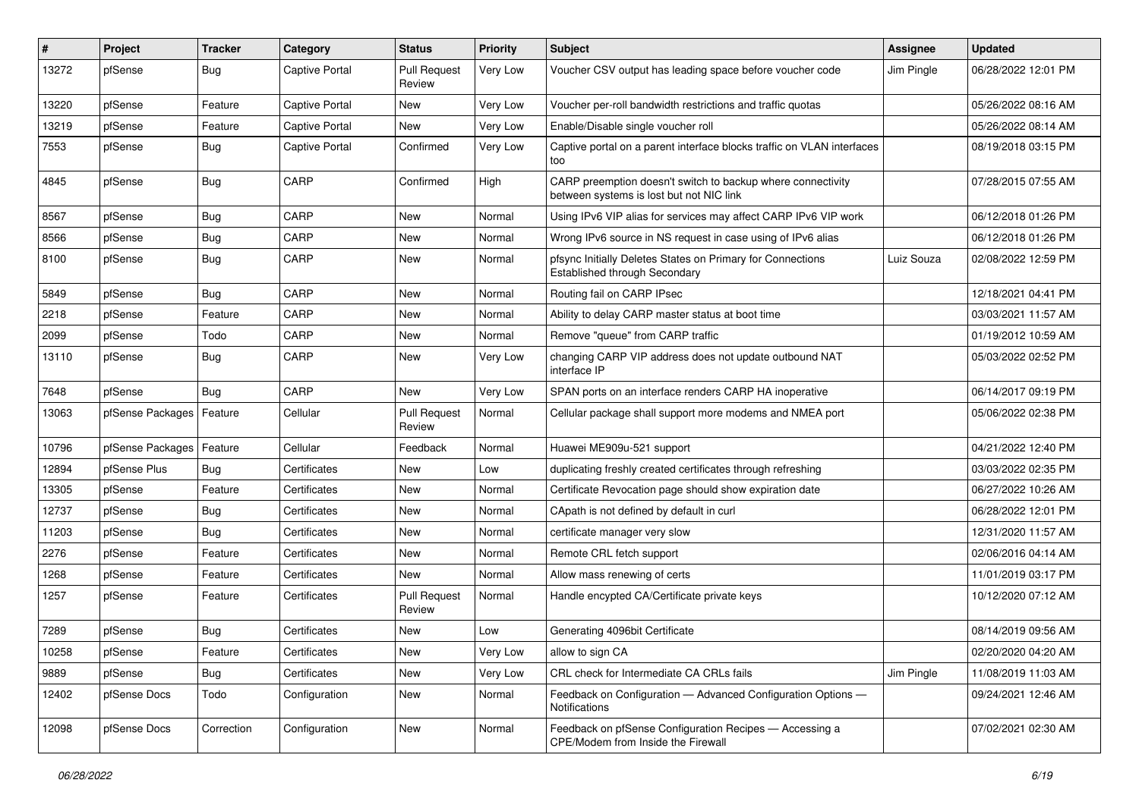| #     | Project                    | Tracker    | Category              | <b>Status</b>                 | <b>Priority</b> | Subject                                                                                                 | <b>Assignee</b> | <b>Updated</b>      |
|-------|----------------------------|------------|-----------------------|-------------------------------|-----------------|---------------------------------------------------------------------------------------------------------|-----------------|---------------------|
| 13272 | pfSense                    | <b>Bug</b> | <b>Captive Portal</b> | <b>Pull Request</b><br>Review | Very Low        | Voucher CSV output has leading space before voucher code                                                | Jim Pingle      | 06/28/2022 12:01 PM |
| 13220 | pfSense                    | Feature    | Captive Portal        | <b>New</b>                    | Very Low        | Voucher per-roll bandwidth restrictions and traffic quotas                                              |                 | 05/26/2022 08:16 AM |
| 13219 | pfSense                    | Feature    | Captive Portal        | New                           | Very Low        | Enable/Disable single voucher roll                                                                      |                 | 05/26/2022 08:14 AM |
| 7553  | pfSense                    | <b>Bug</b> | Captive Portal        | Confirmed                     | Very Low        | Captive portal on a parent interface blocks traffic on VLAN interfaces<br>too                           |                 | 08/19/2018 03:15 PM |
| 4845  | pfSense                    | <b>Bug</b> | CARP                  | Confirmed                     | High            | CARP preemption doesn't switch to backup where connectivity<br>between systems is lost but not NIC link |                 | 07/28/2015 07:55 AM |
| 8567  | pfSense                    | <b>Bug</b> | CARP                  | New                           | Normal          | Using IPv6 VIP alias for services may affect CARP IPv6 VIP work                                         |                 | 06/12/2018 01:26 PM |
| 8566  | pfSense                    | <b>Bug</b> | CARP                  | <b>New</b>                    | Normal          | Wrong IPv6 source in NS request in case using of IPv6 alias                                             |                 | 06/12/2018 01:26 PM |
| 8100  | pfSense                    | <b>Bug</b> | CARP                  | New                           | Normal          | pfsync Initially Deletes States on Primary for Connections<br>Established through Secondary             | Luiz Souza      | 02/08/2022 12:59 PM |
| 5849  | pfSense                    | <b>Bug</b> | CARP                  | <b>New</b>                    | Normal          | Routing fail on CARP IPsec                                                                              |                 | 12/18/2021 04:41 PM |
| 2218  | pfSense                    | Feature    | CARP                  | <b>New</b>                    | Normal          | Ability to delay CARP master status at boot time                                                        |                 | 03/03/2021 11:57 AM |
| 2099  | pfSense                    | Todo       | CARP                  | New                           | Normal          | Remove "queue" from CARP traffic                                                                        |                 | 01/19/2012 10:59 AM |
| 13110 | pfSense                    | <b>Bug</b> | CARP                  | New                           | Very Low        | changing CARP VIP address does not update outbound NAT<br>interface IP                                  |                 | 05/03/2022 02:52 PM |
| 7648  | pfSense                    | <b>Bug</b> | CARP                  | <b>New</b>                    | Very Low        | SPAN ports on an interface renders CARP HA inoperative                                                  |                 | 06/14/2017 09:19 PM |
| 13063 | pfSense Packages   Feature |            | Cellular              | <b>Pull Request</b><br>Review | Normal          | Cellular package shall support more modems and NMEA port                                                |                 | 05/06/2022 02:38 PM |
| 10796 | pfSense Packages           | Feature    | Cellular              | Feedback                      | Normal          | Huawei ME909u-521 support                                                                               |                 | 04/21/2022 12:40 PM |
| 12894 | pfSense Plus               | Bug        | Certificates          | <b>New</b>                    | Low             | duplicating freshly created certificates through refreshing                                             |                 | 03/03/2022 02:35 PM |
| 13305 | pfSense                    | Feature    | Certificates          | New                           | Normal          | Certificate Revocation page should show expiration date                                                 |                 | 06/27/2022 10:26 AM |
| 12737 | pfSense                    | <b>Bug</b> | Certificates          | New                           | Normal          | CApath is not defined by default in curl                                                                |                 | 06/28/2022 12:01 PM |
| 11203 | pfSense                    | <b>Bug</b> | Certificates          | New                           | Normal          | certificate manager very slow                                                                           |                 | 12/31/2020 11:57 AM |
| 2276  | pfSense                    | Feature    | Certificates          | <b>New</b>                    | Normal          | Remote CRL fetch support                                                                                |                 | 02/06/2016 04:14 AM |
| 1268  | pfSense                    | Feature    | Certificates          | New                           | Normal          | Allow mass renewing of certs                                                                            |                 | 11/01/2019 03:17 PM |
| 1257  | pfSense                    | Feature    | Certificates          | <b>Pull Request</b><br>Review | Normal          | Handle encypted CA/Certificate private keys                                                             |                 | 10/12/2020 07:12 AM |
| 7289  | pfSense                    | <b>Bug</b> | Certificates          | New                           | Low             | Generating 4096bit Certificate                                                                          |                 | 08/14/2019 09:56 AM |
| 10258 | pfSense                    | Feature    | Certificates          | New                           | Very Low        | allow to sign CA                                                                                        |                 | 02/20/2020 04:20 AM |
| 9889  | pfSense                    | Bug        | Certificates          | New                           | Very Low        | CRL check for Intermediate CA CRLs fails                                                                | Jim Pingle      | 11/08/2019 11:03 AM |
| 12402 | pfSense Docs               | Todo       | Configuration         | New                           | Normal          | Feedback on Configuration - Advanced Configuration Options -<br>Notifications                           |                 | 09/24/2021 12:46 AM |
| 12098 | pfSense Docs               | Correction | Configuration         | New                           | Normal          | Feedback on pfSense Configuration Recipes - Accessing a<br>CPE/Modem from Inside the Firewall           |                 | 07/02/2021 02:30 AM |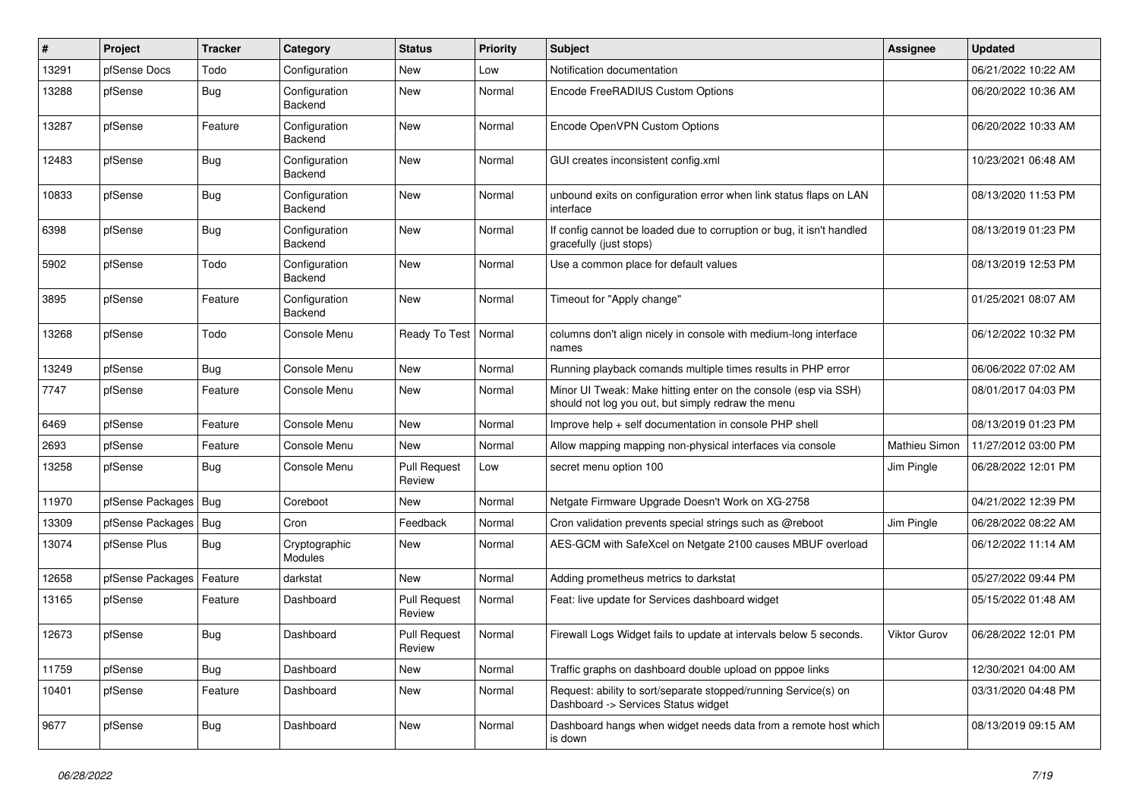| ∦     | Project          | <b>Tracker</b> | Category                 | <b>Status</b>                 | <b>Priority</b> | <b>Subject</b>                                                                                                        | Assignee            | <b>Updated</b>      |
|-------|------------------|----------------|--------------------------|-------------------------------|-----------------|-----------------------------------------------------------------------------------------------------------------------|---------------------|---------------------|
| 13291 | pfSense Docs     | Todo           | Configuration            | New                           | Low             | Notification documentation                                                                                            |                     | 06/21/2022 10:22 AM |
| 13288 | pfSense          | Bug            | Configuration<br>Backend | <b>New</b>                    | Normal          | Encode FreeRADIUS Custom Options                                                                                      |                     | 06/20/2022 10:36 AM |
| 13287 | pfSense          | Feature        | Configuration<br>Backend | <b>New</b>                    | Normal          | Encode OpenVPN Custom Options                                                                                         |                     | 06/20/2022 10:33 AM |
| 12483 | pfSense          | Bug            | Configuration<br>Backend | <b>New</b>                    | Normal          | GUI creates inconsistent config.xml                                                                                   |                     | 10/23/2021 06:48 AM |
| 10833 | pfSense          | Bug            | Configuration<br>Backend | <b>New</b>                    | Normal          | unbound exits on configuration error when link status flaps on LAN<br>interface                                       |                     | 08/13/2020 11:53 PM |
| 6398  | pfSense          | <b>Bug</b>     | Configuration<br>Backend | <b>New</b>                    | Normal          | If config cannot be loaded due to corruption or bug, it isn't handled<br>gracefully (just stops)                      |                     | 08/13/2019 01:23 PM |
| 5902  | pfSense          | Todo           | Configuration<br>Backend | <b>New</b>                    | Normal          | Use a common place for default values                                                                                 |                     | 08/13/2019 12:53 PM |
| 3895  | pfSense          | Feature        | Configuration<br>Backend | <b>New</b>                    | Normal          | Timeout for "Apply change"                                                                                            |                     | 01/25/2021 08:07 AM |
| 13268 | pfSense          | Todo           | Console Menu             | Ready To Test                 | Normal          | columns don't align nicely in console with medium-long interface<br>names                                             |                     | 06/12/2022 10:32 PM |
| 13249 | pfSense          | <b>Bug</b>     | Console Menu             | <b>New</b>                    | Normal          | Running playback comands multiple times results in PHP error                                                          |                     | 06/06/2022 07:02 AM |
| 7747  | pfSense          | Feature        | Console Menu             | <b>New</b>                    | Normal          | Minor UI Tweak: Make hitting enter on the console (esp via SSH)<br>should not log you out, but simply redraw the menu |                     | 08/01/2017 04:03 PM |
| 6469  | pfSense          | Feature        | Console Menu             | New                           | Normal          | Improve help + self documentation in console PHP shell                                                                |                     | 08/13/2019 01:23 PM |
| 2693  | pfSense          | Feature        | Console Menu             | New                           | Normal          | Allow mapping mapping non-physical interfaces via console                                                             | Mathieu Simon       | 11/27/2012 03:00 PM |
| 13258 | pfSense          | Bug            | Console Menu             | <b>Pull Request</b><br>Review | Low             | secret menu option 100                                                                                                | Jim Pingle          | 06/28/2022 12:01 PM |
| 11970 | pfSense Packages | <b>Bug</b>     | Coreboot                 | New                           | Normal          | Netgate Firmware Upgrade Doesn't Work on XG-2758                                                                      |                     | 04/21/2022 12:39 PM |
| 13309 | pfSense Packages | <b>Bug</b>     | Cron                     | Feedback                      | Normal          | Cron validation prevents special strings such as @reboot                                                              | Jim Pingle          | 06/28/2022 08:22 AM |
| 13074 | pfSense Plus     | <b>Bug</b>     | Cryptographic<br>Modules | New                           | Normal          | AES-GCM with SafeXcel on Netgate 2100 causes MBUF overload                                                            |                     | 06/12/2022 11:14 AM |
| 12658 | pfSense Packages | Feature        | darkstat                 | <b>New</b>                    | Normal          | Adding prometheus metrics to darkstat                                                                                 |                     | 05/27/2022 09:44 PM |
| 13165 | pfSense          | Feature        | Dashboard                | <b>Pull Request</b><br>Review | Normal          | Feat: live update for Services dashboard widget                                                                       |                     | 05/15/2022 01:48 AM |
| 12673 | pfSense          | <b>Bug</b>     | Dashboard                | <b>Pull Request</b><br>Review | Normal          | Firewall Logs Widget fails to update at intervals below 5 seconds.                                                    | <b>Viktor Gurov</b> | 06/28/2022 12:01 PM |
| 11759 | pfSense          | <b>Bug</b>     | Dashboard                | <b>New</b>                    | Normal          | Traffic graphs on dashboard double upload on pppoe links                                                              |                     | 12/30/2021 04:00 AM |
| 10401 | pfSense          | Feature        | Dashboard                | New                           | Normal          | Request: ability to sort/separate stopped/running Service(s) on<br>Dashboard -> Services Status widget                |                     | 03/31/2020 04:48 PM |
| 9677  | pfSense          | Bug            | Dashboard                | New                           | Normal          | Dashboard hangs when widget needs data from a remote host which<br>is down                                            |                     | 08/13/2019 09:15 AM |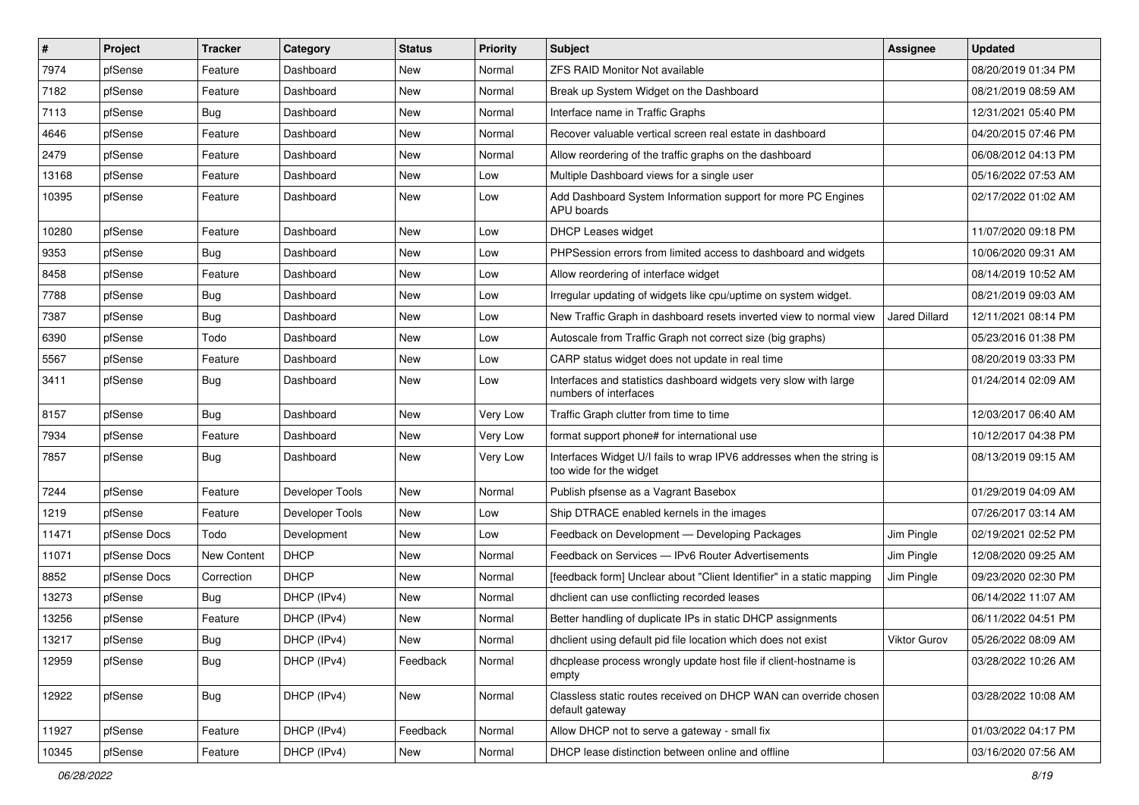| $\vert$ # | Project      | <b>Tracker</b> | Category        | <b>Status</b> | Priority | Subject                                                                                          | <b>Assignee</b>      | <b>Updated</b>      |
|-----------|--------------|----------------|-----------------|---------------|----------|--------------------------------------------------------------------------------------------------|----------------------|---------------------|
| 7974      | pfSense      | Feature        | Dashboard       | New           | Normal   | ZFS RAID Monitor Not available                                                                   |                      | 08/20/2019 01:34 PM |
| 7182      | pfSense      | Feature        | Dashboard       | New           | Normal   | Break up System Widget on the Dashboard                                                          |                      | 08/21/2019 08:59 AM |
| 7113      | pfSense      | <b>Bug</b>     | Dashboard       | New           | Normal   | Interface name in Traffic Graphs                                                                 |                      | 12/31/2021 05:40 PM |
| 4646      | pfSense      | Feature        | Dashboard       | New           | Normal   | Recover valuable vertical screen real estate in dashboard                                        |                      | 04/20/2015 07:46 PM |
| 2479      | pfSense      | Feature        | Dashboard       | New           | Normal   | Allow reordering of the traffic graphs on the dashboard                                          |                      | 06/08/2012 04:13 PM |
| 13168     | pfSense      | Feature        | Dashboard       | New           | Low      | Multiple Dashboard views for a single user                                                       |                      | 05/16/2022 07:53 AM |
| 10395     | pfSense      | Feature        | Dashboard       | New           | Low      | Add Dashboard System Information support for more PC Engines<br>APU boards                       |                      | 02/17/2022 01:02 AM |
| 10280     | pfSense      | Feature        | Dashboard       | New           | Low      | <b>DHCP Leases widget</b>                                                                        |                      | 11/07/2020 09:18 PM |
| 9353      | pfSense      | <b>Bug</b>     | Dashboard       | <b>New</b>    | Low      | PHPSession errors from limited access to dashboard and widgets                                   |                      | 10/06/2020 09:31 AM |
| 8458      | pfSense      | Feature        | Dashboard       | New           | Low      | Allow reordering of interface widget                                                             |                      | 08/14/2019 10:52 AM |
| 7788      | pfSense      | <b>Bug</b>     | Dashboard       | New           | Low      | Irregular updating of widgets like cpu/uptime on system widget.                                  |                      | 08/21/2019 09:03 AM |
| 7387      | pfSense      | Bug            | Dashboard       | New           | Low      | New Traffic Graph in dashboard resets inverted view to normal view                               | <b>Jared Dillard</b> | 12/11/2021 08:14 PM |
| 6390      | pfSense      | Todo           | Dashboard       | New           | Low      | Autoscale from Traffic Graph not correct size (big graphs)                                       |                      | 05/23/2016 01:38 PM |
| 5567      | pfSense      | Feature        | Dashboard       | New           | Low      | CARP status widget does not update in real time                                                  |                      | 08/20/2019 03:33 PM |
| 3411      | pfSense      | <b>Bug</b>     | Dashboard       | New           | Low      | Interfaces and statistics dashboard widgets very slow with large<br>numbers of interfaces        |                      | 01/24/2014 02:09 AM |
| 8157      | pfSense      | <b>Bug</b>     | Dashboard       | New           | Very Low | Traffic Graph clutter from time to time                                                          |                      | 12/03/2017 06:40 AM |
| 7934      | pfSense      | Feature        | Dashboard       | New           | Very Low | format support phone# for international use                                                      |                      | 10/12/2017 04:38 PM |
| 7857      | pfSense      | <b>Bug</b>     | Dashboard       | New           | Very Low | Interfaces Widget U/I fails to wrap IPV6 addresses when the string is<br>too wide for the widget |                      | 08/13/2019 09:15 AM |
| 7244      | pfSense      | Feature        | Developer Tools | New           | Normal   | Publish pfsense as a Vagrant Basebox                                                             |                      | 01/29/2019 04:09 AM |
| 1219      | pfSense      | Feature        | Developer Tools | New           | Low      | Ship DTRACE enabled kernels in the images                                                        |                      | 07/26/2017 03:14 AM |
| 11471     | pfSense Docs | Todo           | Development     | New           | Low      | Feedback on Development - Developing Packages                                                    | Jim Pingle           | 02/19/2021 02:52 PM |
| 11071     | pfSense Docs | New Content    | <b>DHCP</b>     | New           | Normal   | Feedback on Services - IPv6 Router Advertisements                                                | Jim Pingle           | 12/08/2020 09:25 AM |
| 8852      | pfSense Docs | Correction     | <b>DHCP</b>     | New           | Normal   | [feedback form] Unclear about "Client Identifier" in a static mapping                            | Jim Pingle           | 09/23/2020 02:30 PM |
| 13273     | pfSense      | <b>Bug</b>     | DHCP (IPv4)     | New           | Normal   | dhclient can use conflicting recorded leases                                                     |                      | 06/14/2022 11:07 AM |
| 13256     | pfSense      | Feature        | DHCP (IPv4)     | New           | Normal   | Better handling of duplicate IPs in static DHCP assignments                                      |                      | 06/11/2022 04:51 PM |
| 13217     | pfSense      | Bug            | DHCP (IPv4)     | New           | Normal   | dhclient using default pid file location which does not exist                                    | Viktor Gurov         | 05/26/2022 08:09 AM |
| 12959     | pfSense      | <b>Bug</b>     | DHCP (IPv4)     | Feedback      | Normal   | dhcplease process wrongly update host file if client-hostname is<br>empty                        |                      | 03/28/2022 10:26 AM |
| 12922     | pfSense      | Bug            | DHCP (IPv4)     | New           | Normal   | Classless static routes received on DHCP WAN can override chosen<br>default gateway              |                      | 03/28/2022 10:08 AM |
| 11927     | pfSense      | Feature        | DHCP (IPv4)     | Feedback      | Normal   | Allow DHCP not to serve a gateway - small fix                                                    |                      | 01/03/2022 04:17 PM |
| 10345     | pfSense      | Feature        | DHCP (IPv4)     | New           | Normal   | DHCP lease distinction between online and offline                                                |                      | 03/16/2020 07:56 AM |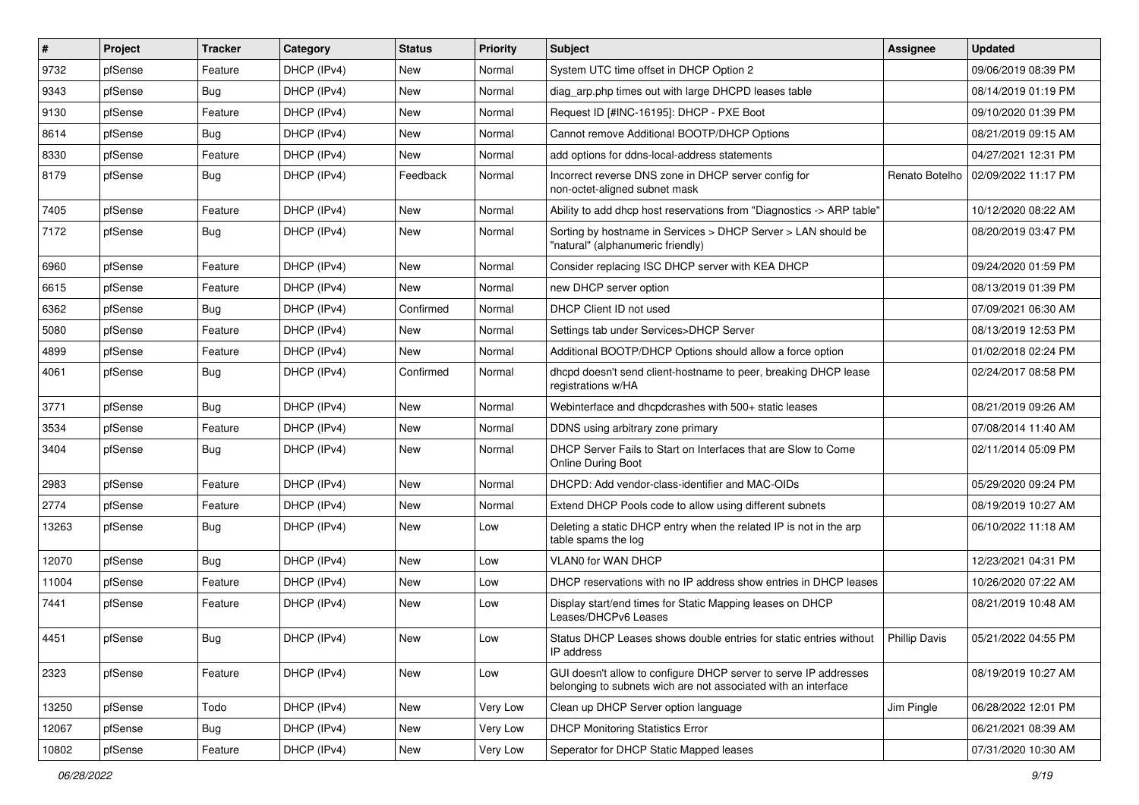| #     | Project | <b>Tracker</b> | Category    | <b>Status</b> | <b>Priority</b> | <b>Subject</b>                                                                                                                     | Assignee       | <b>Updated</b>      |
|-------|---------|----------------|-------------|---------------|-----------------|------------------------------------------------------------------------------------------------------------------------------------|----------------|---------------------|
| 9732  | pfSense | Feature        | DHCP (IPv4) | <b>New</b>    | Normal          | System UTC time offset in DHCP Option 2                                                                                            |                | 09/06/2019 08:39 PM |
| 9343  | pfSense | Bug            | DHCP (IPv4) | New           | Normal          | diag arp.php times out with large DHCPD leases table                                                                               |                | 08/14/2019 01:19 PM |
| 9130  | pfSense | Feature        | DHCP (IPv4) | <b>New</b>    | Normal          | Request ID [#INC-16195]: DHCP - PXE Boot                                                                                           |                | 09/10/2020 01:39 PM |
| 8614  | pfSense | <b>Bug</b>     | DHCP (IPv4) | New           | Normal          | Cannot remove Additional BOOTP/DHCP Options                                                                                        |                | 08/21/2019 09:15 AM |
| 8330  | pfSense | Feature        | DHCP (IPv4) | <b>New</b>    | Normal          | add options for ddns-local-address statements                                                                                      |                | 04/27/2021 12:31 PM |
| 8179  | pfSense | Bug            | DHCP (IPv4) | Feedback      | Normal          | Incorrect reverse DNS zone in DHCP server config for<br>non-octet-aligned subnet mask                                              | Renato Botelho | 02/09/2022 11:17 PM |
| 7405  | pfSense | Feature        | DHCP (IPv4) | <b>New</b>    | Normal          | Ability to add dhcp host reservations from "Diagnostics -> ARP table"                                                              |                | 10/12/2020 08:22 AM |
| 7172  | pfSense | Bug            | DHCP (IPv4) | New           | Normal          | Sorting by hostname in Services > DHCP Server > LAN should be<br>"natural" (alphanumeric friendly)                                 |                | 08/20/2019 03:47 PM |
| 6960  | pfSense | Feature        | DHCP (IPv4) | <b>New</b>    | Normal          | Consider replacing ISC DHCP server with KEA DHCP                                                                                   |                | 09/24/2020 01:59 PM |
| 6615  | pfSense | Feature        | DHCP (IPv4) | <b>New</b>    | Normal          | new DHCP server option                                                                                                             |                | 08/13/2019 01:39 PM |
| 6362  | pfSense | <b>Bug</b>     | DHCP (IPv4) | Confirmed     | Normal          | DHCP Client ID not used                                                                                                            |                | 07/09/2021 06:30 AM |
| 5080  | pfSense | Feature        | DHCP (IPv4) | New           | Normal          | Settings tab under Services>DHCP Server                                                                                            |                | 08/13/2019 12:53 PM |
| 4899  | pfSense | Feature        | DHCP (IPv4) | New           | Normal          | Additional BOOTP/DHCP Options should allow a force option                                                                          |                | 01/02/2018 02:24 PM |
| 4061  | pfSense | <b>Bug</b>     | DHCP (IPv4) | Confirmed     | Normal          | dhcpd doesn't send client-hostname to peer, breaking DHCP lease<br>registrations w/HA                                              |                | 02/24/2017 08:58 PM |
| 3771  | pfSense | Bug            | DHCP (IPv4) | <b>New</b>    | Normal          | Webinterface and dhcpdcrashes with 500+ static leases                                                                              |                | 08/21/2019 09:26 AM |
| 3534  | pfSense | Feature        | DHCP (IPv4) | New           | Normal          | DDNS using arbitrary zone primary                                                                                                  |                | 07/08/2014 11:40 AM |
| 3404  | pfSense | Bug            | DHCP (IPv4) | New           | Normal          | DHCP Server Fails to Start on Interfaces that are Slow to Come<br><b>Online During Boot</b>                                        |                | 02/11/2014 05:09 PM |
| 2983  | pfSense | Feature        | DHCP (IPv4) | New           | Normal          | DHCPD: Add vendor-class-identifier and MAC-OIDs                                                                                    |                | 05/29/2020 09:24 PM |
| 2774  | pfSense | Feature        | DHCP (IPv4) | New           | Normal          | Extend DHCP Pools code to allow using different subnets                                                                            |                | 08/19/2019 10:27 AM |
| 13263 | pfSense | Bug            | DHCP (IPv4) | <b>New</b>    | Low             | Deleting a static DHCP entry when the related IP is not in the arp<br>table spams the log                                          |                | 06/10/2022 11:18 AM |
| 12070 | pfSense | Bug            | DHCP (IPv4) | <b>New</b>    | Low             | <b>VLAN0 for WAN DHCP</b>                                                                                                          |                | 12/23/2021 04:31 PM |
| 11004 | pfSense | Feature        | DHCP (IPv4) | New           | Low             | DHCP reservations with no IP address show entries in DHCP leases                                                                   |                | 10/26/2020 07:22 AM |
| 7441  | pfSense | Feature        | DHCP (IPv4) | New           | Low             | Display start/end times for Static Mapping leases on DHCP<br>Leases/DHCPv6 Leases                                                  |                | 08/21/2019 10:48 AM |
| 4451  | pfSense | Bug            | DHCP (IPv4) | New           | Low             | Status DHCP Leases shows double entries for static entries without<br>IP address                                                   | Phillip Davis  | 05/21/2022 04:55 PM |
| 2323  | pfSense | Feature        | DHCP (IPv4) | New           | Low             | GUI doesn't allow to configure DHCP server to serve IP addresses<br>belonging to subnets wich are not associated with an interface |                | 08/19/2019 10:27 AM |
| 13250 | pfSense | Todo           | DHCP (IPv4) | New           | Very Low        | Clean up DHCP Server option language                                                                                               | Jim Pingle     | 06/28/2022 12:01 PM |
| 12067 | pfSense | <b>Bug</b>     | DHCP (IPv4) | New           | Very Low        | <b>DHCP Monitoring Statistics Error</b>                                                                                            |                | 06/21/2021 08:39 AM |
| 10802 | pfSense | Feature        | DHCP (IPv4) | New           | Very Low        | Seperator for DHCP Static Mapped leases                                                                                            |                | 07/31/2020 10:30 AM |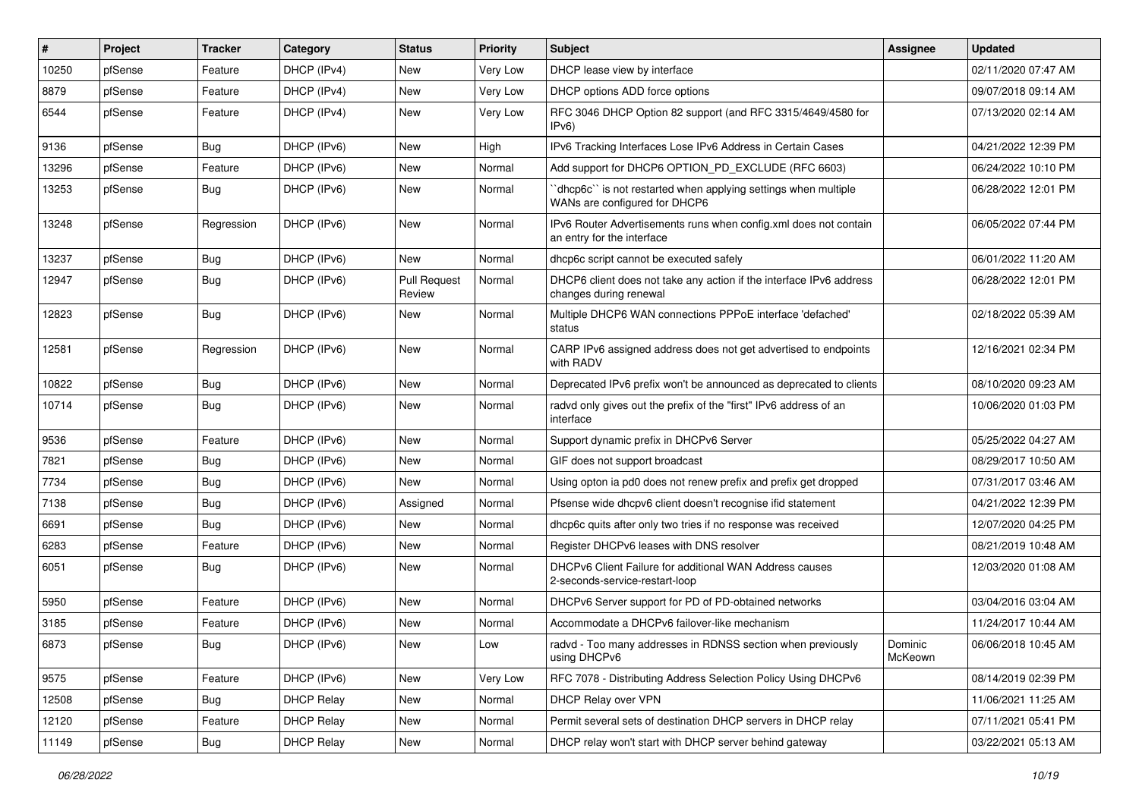| #     | Project | <b>Tracker</b> | Category          | <b>Status</b>                 | <b>Priority</b> | Subject                                                                                         | <b>Assignee</b>    | <b>Updated</b>      |
|-------|---------|----------------|-------------------|-------------------------------|-----------------|-------------------------------------------------------------------------------------------------|--------------------|---------------------|
| 10250 | pfSense | Feature        | DHCP (IPv4)       | New                           | Very Low        | DHCP lease view by interface                                                                    |                    | 02/11/2020 07:47 AM |
| 8879  | pfSense | Feature        | DHCP (IPv4)       | New                           | Very Low        | DHCP options ADD force options                                                                  |                    | 09/07/2018 09:14 AM |
| 6544  | pfSense | Feature        | DHCP (IPv4)       | New                           | Very Low        | RFC 3046 DHCP Option 82 support (and RFC 3315/4649/4580 for<br>IPv6                             |                    | 07/13/2020 02:14 AM |
| 9136  | pfSense | <b>Bug</b>     | DHCP (IPv6)       | <b>New</b>                    | High            | IPv6 Tracking Interfaces Lose IPv6 Address in Certain Cases                                     |                    | 04/21/2022 12:39 PM |
| 13296 | pfSense | Feature        | DHCP (IPv6)       | New                           | Normal          | Add support for DHCP6 OPTION_PD_EXCLUDE (RFC 6603)                                              |                    | 06/24/2022 10:10 PM |
| 13253 | pfSense | Bug            | DHCP (IPv6)       | New                           | Normal          | 'dhcp6c' is not restarted when applying settings when multiple<br>WANs are configured for DHCP6 |                    | 06/28/2022 12:01 PM |
| 13248 | pfSense | Regression     | DHCP (IPv6)       | New                           | Normal          | IPv6 Router Advertisements runs when config.xml does not contain<br>an entry for the interface  |                    | 06/05/2022 07:44 PM |
| 13237 | pfSense | Bug            | DHCP (IPv6)       | New                           | Normal          | dhcp6c script cannot be executed safely                                                         |                    | 06/01/2022 11:20 AM |
| 12947 | pfSense | <b>Bug</b>     | DHCP (IPv6)       | <b>Pull Request</b><br>Review | Normal          | DHCP6 client does not take any action if the interface IPv6 address<br>changes during renewal   |                    | 06/28/2022 12:01 PM |
| 12823 | pfSense | Bug            | DHCP (IPv6)       | New                           | Normal          | Multiple DHCP6 WAN connections PPPoE interface 'defached'<br>status                             |                    | 02/18/2022 05:39 AM |
| 12581 | pfSense | Regression     | DHCP (IPv6)       | <b>New</b>                    | Normal          | CARP IPv6 assigned address does not get advertised to endpoints<br>with RADV                    |                    | 12/16/2021 02:34 PM |
| 10822 | pfSense | Bug            | DHCP (IPv6)       | <b>New</b>                    | Normal          | Deprecated IPv6 prefix won't be announced as deprecated to clients                              |                    | 08/10/2020 09:23 AM |
| 10714 | pfSense | Bug            | DHCP (IPv6)       | New                           | Normal          | radvd only gives out the prefix of the "first" IPv6 address of an<br>interface                  |                    | 10/06/2020 01:03 PM |
| 9536  | pfSense | Feature        | DHCP (IPv6)       | <b>New</b>                    | Normal          | Support dynamic prefix in DHCPv6 Server                                                         |                    | 05/25/2022 04:27 AM |
| 7821  | pfSense | <b>Bug</b>     | DHCP (IPv6)       | New                           | Normal          | GIF does not support broadcast                                                                  |                    | 08/29/2017 10:50 AM |
| 7734  | pfSense | Bug            | DHCP (IPv6)       | New                           | Normal          | Using opton ia pd0 does not renew prefix and prefix get dropped                                 |                    | 07/31/2017 03:46 AM |
| 7138  | pfSense | <b>Bug</b>     | DHCP (IPv6)       | Assigned                      | Normal          | Pfsense wide dhcpv6 client doesn't recognise ifid statement                                     |                    | 04/21/2022 12:39 PM |
| 6691  | pfSense | <b>Bug</b>     | DHCP (IPv6)       | New                           | Normal          | dhcp6c quits after only two tries if no response was received                                   |                    | 12/07/2020 04:25 PM |
| 6283  | pfSense | Feature        | DHCP (IPv6)       | New                           | Normal          | Register DHCPv6 leases with DNS resolver                                                        |                    | 08/21/2019 10:48 AM |
| 6051  | pfSense | Bug            | DHCP (IPv6)       | New                           | Normal          | DHCPv6 Client Failure for additional WAN Address causes<br>2-seconds-service-restart-loop       |                    | 12/03/2020 01:08 AM |
| 5950  | pfSense | Feature        | DHCP (IPv6)       | <b>New</b>                    | Normal          | DHCPv6 Server support for PD of PD-obtained networks                                            |                    | 03/04/2016 03:04 AM |
| 3185  | pfSense | Feature        | DHCP (IPv6)       | New                           | Normal          | Accommodate a DHCPv6 failover-like mechanism                                                    |                    | 11/24/2017 10:44 AM |
| 6873  | pfSense | Bug            | DHCP (IPv6)       | New                           | LOW             | radvd - Too many addresses in RDNSS section when previously<br>using DHCPv6                     | Dominic<br>McKeown | 06/06/2018 10:45 AM |
| 9575  | pfSense | Feature        | DHCP (IPv6)       | New                           | Very Low        | RFC 7078 - Distributing Address Selection Policy Using DHCPv6                                   |                    | 08/14/2019 02:39 PM |
| 12508 | pfSense | Bug            | <b>DHCP Relay</b> | New                           | Normal          | DHCP Relay over VPN                                                                             |                    | 11/06/2021 11:25 AM |
| 12120 | pfSense | Feature        | <b>DHCP Relay</b> | New                           | Normal          | Permit several sets of destination DHCP servers in DHCP relay                                   |                    | 07/11/2021 05:41 PM |
| 11149 | pfSense | Bug            | <b>DHCP Relay</b> | New                           | Normal          | DHCP relay won't start with DHCP server behind gateway                                          |                    | 03/22/2021 05:13 AM |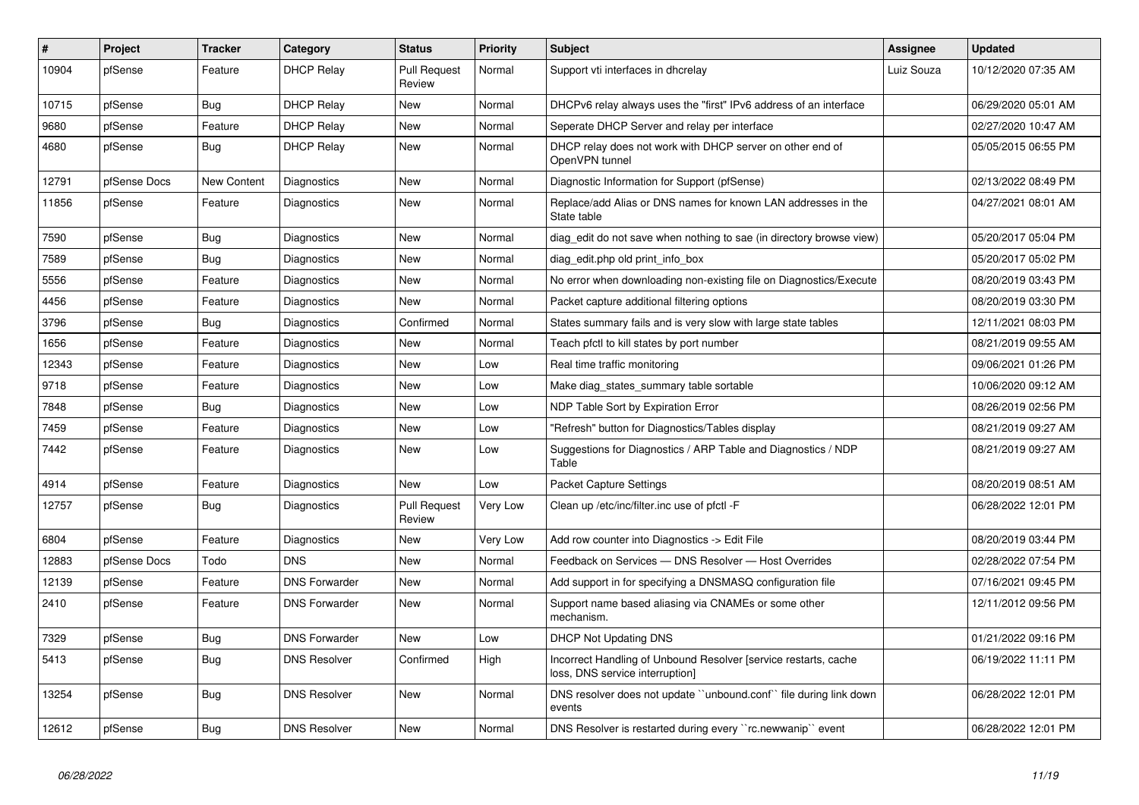| $\vert$ # | Project      | <b>Tracker</b> | Category             | <b>Status</b>                 | <b>Priority</b> | <b>Subject</b>                                                                                     | Assignee   | <b>Updated</b>      |
|-----------|--------------|----------------|----------------------|-------------------------------|-----------------|----------------------------------------------------------------------------------------------------|------------|---------------------|
| 10904     | pfSense      | Feature        | <b>DHCP Relay</b>    | <b>Pull Request</b><br>Review | Normal          | Support vti interfaces in dhcrelay                                                                 | Luiz Souza | 10/12/2020 07:35 AM |
| 10715     | pfSense      | Bug            | <b>DHCP Relay</b>    | <b>New</b>                    | Normal          | DHCPv6 relay always uses the "first" IPv6 address of an interface                                  |            | 06/29/2020 05:01 AM |
| 9680      | pfSense      | Feature        | <b>DHCP Relay</b>    | <b>New</b>                    | Normal          | Seperate DHCP Server and relay per interface                                                       |            | 02/27/2020 10:47 AM |
| 4680      | pfSense      | <b>Bug</b>     | <b>DHCP Relay</b>    | <b>New</b>                    | Normal          | DHCP relay does not work with DHCP server on other end of<br>OpenVPN tunnel                        |            | 05/05/2015 06:55 PM |
| 12791     | pfSense Docs | New Content    | Diagnostics          | <b>New</b>                    | Normal          | Diagnostic Information for Support (pfSense)                                                       |            | 02/13/2022 08:49 PM |
| 11856     | pfSense      | Feature        | Diagnostics          | <b>New</b>                    | Normal          | Replace/add Alias or DNS names for known LAN addresses in the<br>State table                       |            | 04/27/2021 08:01 AM |
| 7590      | pfSense      | Bug            | Diagnostics          | <b>New</b>                    | Normal          | diag edit do not save when nothing to sae (in directory browse view)                               |            | 05/20/2017 05:04 PM |
| 7589      | pfSense      | Bug            | Diagnostics          | <b>New</b>                    | Normal          | diag edit.php old print info box                                                                   |            | 05/20/2017 05:02 PM |
| 5556      | pfSense      | Feature        | Diagnostics          | <b>New</b>                    | Normal          | No error when downloading non-existing file on Diagnostics/Execute                                 |            | 08/20/2019 03:43 PM |
| 4456      | pfSense      | Feature        | Diagnostics          | <b>New</b>                    | Normal          | Packet capture additional filtering options                                                        |            | 08/20/2019 03:30 PM |
| 3796      | pfSense      | <b>Bug</b>     | Diagnostics          | Confirmed                     | Normal          | States summary fails and is very slow with large state tables                                      |            | 12/11/2021 08:03 PM |
| 1656      | pfSense      | Feature        | Diagnostics          | <b>New</b>                    | Normal          | Teach pfctl to kill states by port number                                                          |            | 08/21/2019 09:55 AM |
| 12343     | pfSense      | Feature        | Diagnostics          | <b>New</b>                    | Low             | Real time traffic monitoring                                                                       |            | 09/06/2021 01:26 PM |
| 9718      | pfSense      | Feature        | Diagnostics          | <b>New</b>                    | Low             | Make diag states summary table sortable                                                            |            | 10/06/2020 09:12 AM |
| 7848      | pfSense      | Bug            | Diagnostics          | <b>New</b>                    | Low             | NDP Table Sort by Expiration Error                                                                 |            | 08/26/2019 02:56 PM |
| 7459      | pfSense      | Feature        | Diagnostics          | <b>New</b>                    | Low             | 'Refresh" button for Diagnostics/Tables display                                                    |            | 08/21/2019 09:27 AM |
| 7442      | pfSense      | Feature        | Diagnostics          | <b>New</b>                    | Low             | Suggestions for Diagnostics / ARP Table and Diagnostics / NDP<br>Table                             |            | 08/21/2019 09:27 AM |
| 4914      | pfSense      | Feature        | Diagnostics          | <b>New</b>                    | Low             | <b>Packet Capture Settings</b>                                                                     |            | 08/20/2019 08:51 AM |
| 12757     | pfSense      | <b>Bug</b>     | Diagnostics          | <b>Pull Request</b><br>Review | Very Low        | Clean up /etc/inc/filter.inc use of pfctl -F                                                       |            | 06/28/2022 12:01 PM |
| 6804      | pfSense      | Feature        | Diagnostics          | <b>New</b>                    | Very Low        | Add row counter into Diagnostics -> Edit File                                                      |            | 08/20/2019 03:44 PM |
| 12883     | pfSense Docs | Todo           | <b>DNS</b>           | <b>New</b>                    | Normal          | Feedback on Services - DNS Resolver - Host Overrides                                               |            | 02/28/2022 07:54 PM |
| 12139     | pfSense      | Feature        | <b>DNS Forwarder</b> | <b>New</b>                    | Normal          | Add support in for specifying a DNSMASQ configuration file                                         |            | 07/16/2021 09:45 PM |
| 2410      | pfSense      | Feature        | <b>DNS Forwarder</b> | <b>New</b>                    | Normal          | Support name based aliasing via CNAMEs or some other<br>mechanism.                                 |            | 12/11/2012 09:56 PM |
| 7329      | pfSense      | Bug            | <b>DNS Forwarder</b> | <b>New</b>                    | Low             | <b>DHCP Not Updating DNS</b>                                                                       |            | 01/21/2022 09:16 PM |
| 5413      | pfSense      | Bug            | DNS Resolver         | Confirmed                     | High            | Incorrect Handling of Unbound Resolver [service restarts, cache<br>loss, DNS service interruption] |            | 06/19/2022 11:11 PM |
| 13254     | pfSense      | <b>Bug</b>     | <b>DNS Resolver</b>  | <b>New</b>                    | Normal          | DNS resolver does not update "unbound.conf" file during link down<br>events                        |            | 06/28/2022 12:01 PM |
| 12612     | pfSense      | <b>Bug</b>     | <b>DNS Resolver</b>  | <b>New</b>                    | Normal          | DNS Resolver is restarted during every "rc.newwanip" event                                         |            | 06/28/2022 12:01 PM |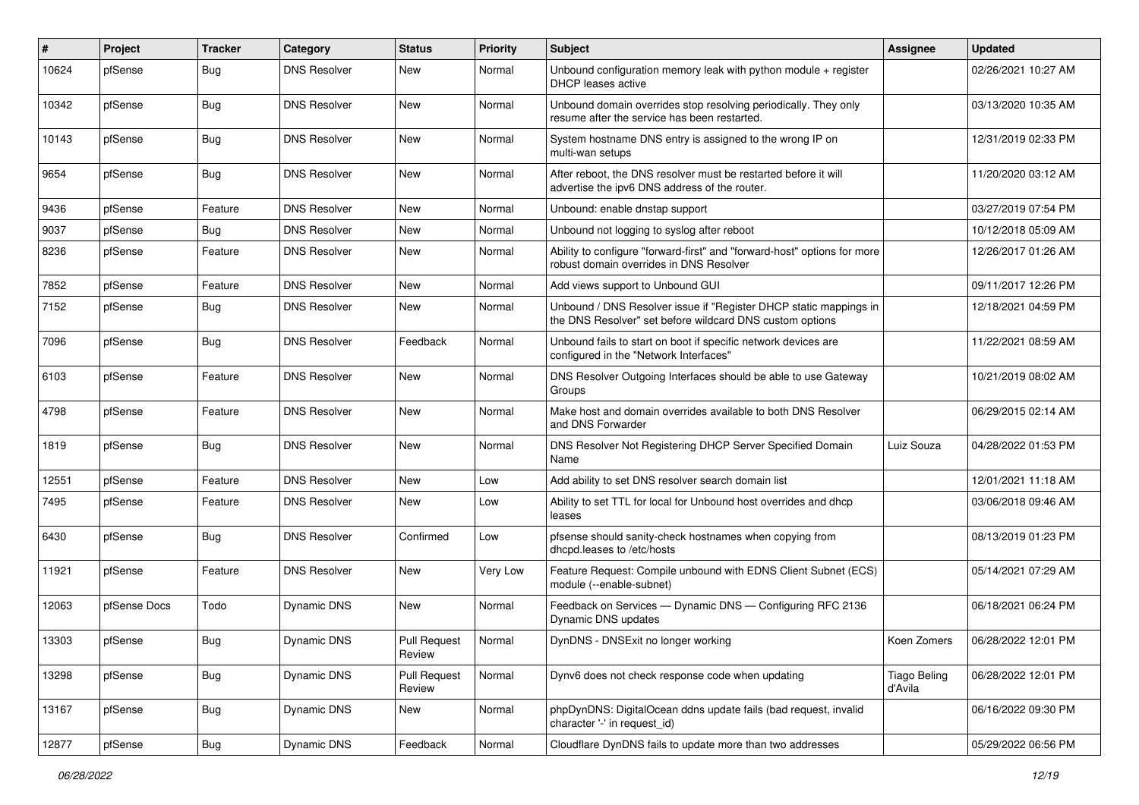| $\vert$ # | Project      | <b>Tracker</b> | Category            | <b>Status</b>                 | <b>Priority</b> | <b>Subject</b>                                                                                                                | Assignee                       | <b>Updated</b>      |
|-----------|--------------|----------------|---------------------|-------------------------------|-----------------|-------------------------------------------------------------------------------------------------------------------------------|--------------------------------|---------------------|
| 10624     | pfSense      | Bug            | <b>DNS Resolver</b> | New                           | Normal          | Unbound configuration memory leak with python module + register<br><b>DHCP</b> leases active                                  |                                | 02/26/2021 10:27 AM |
| 10342     | pfSense      | Bug            | <b>DNS Resolver</b> | New                           | Normal          | Unbound domain overrides stop resolving periodically. They only<br>resume after the service has been restarted.               |                                | 03/13/2020 10:35 AM |
| 10143     | pfSense      | Bug            | <b>DNS Resolver</b> | <b>New</b>                    | Normal          | System hostname DNS entry is assigned to the wrong IP on<br>multi-wan setups                                                  |                                | 12/31/2019 02:33 PM |
| 9654      | pfSense      | Bug            | <b>DNS Resolver</b> | <b>New</b>                    | Normal          | After reboot, the DNS resolver must be restarted before it will<br>advertise the ipv6 DNS address of the router.              |                                | 11/20/2020 03:12 AM |
| 9436      | pfSense      | Feature        | <b>DNS Resolver</b> | <b>New</b>                    | Normal          | Unbound: enable dnstap support                                                                                                |                                | 03/27/2019 07:54 PM |
| 9037      | pfSense      | Bug            | <b>DNS Resolver</b> | New                           | Normal          | Unbound not logging to syslog after reboot                                                                                    |                                | 10/12/2018 05:09 AM |
| 8236      | pfSense      | Feature        | <b>DNS Resolver</b> | New                           | Normal          | Ability to configure "forward-first" and "forward-host" options for more<br>robust domain overrides in DNS Resolver           |                                | 12/26/2017 01:26 AM |
| 7852      | pfSense      | Feature        | <b>DNS Resolver</b> | <b>New</b>                    | Normal          | Add views support to Unbound GUI                                                                                              |                                | 09/11/2017 12:26 PM |
| 7152      | pfSense      | Bug            | <b>DNS Resolver</b> | New                           | Normal          | Unbound / DNS Resolver issue if "Register DHCP static mappings in<br>the DNS Resolver" set before wildcard DNS custom options |                                | 12/18/2021 04:59 PM |
| 7096      | pfSense      | Bug            | <b>DNS Resolver</b> | Feedback                      | Normal          | Unbound fails to start on boot if specific network devices are<br>configured in the "Network Interfaces"                      |                                | 11/22/2021 08:59 AM |
| 6103      | pfSense      | Feature        | <b>DNS Resolver</b> | New                           | Normal          | DNS Resolver Outgoing Interfaces should be able to use Gateway<br>Groups                                                      |                                | 10/21/2019 08:02 AM |
| 4798      | pfSense      | Feature        | <b>DNS Resolver</b> | <b>New</b>                    | Normal          | Make host and domain overrides available to both DNS Resolver<br>and DNS Forwarder                                            |                                | 06/29/2015 02:14 AM |
| 1819      | pfSense      | <b>Bug</b>     | <b>DNS Resolver</b> | New                           | Normal          | DNS Resolver Not Registering DHCP Server Specified Domain<br>Name                                                             | Luiz Souza                     | 04/28/2022 01:53 PM |
| 12551     | pfSense      | Feature        | <b>DNS Resolver</b> | <b>New</b>                    | Low             | Add ability to set DNS resolver search domain list                                                                            |                                | 12/01/2021 11:18 AM |
| 7495      | pfSense      | Feature        | <b>DNS Resolver</b> | New                           | Low             | Ability to set TTL for local for Unbound host overrides and dhcp<br>leases                                                    |                                | 03/06/2018 09:46 AM |
| 6430      | pfSense      | Bug            | <b>DNS Resolver</b> | Confirmed                     | Low             | pfsense should sanity-check hostnames when copying from<br>dhcpd.leases to /etc/hosts                                         |                                | 08/13/2019 01:23 PM |
| 11921     | pfSense      | Feature        | <b>DNS Resolver</b> | <b>New</b>                    | Very Low        | Feature Request: Compile unbound with EDNS Client Subnet (ECS)<br>module (--enable-subnet)                                    |                                | 05/14/2021 07:29 AM |
| 12063     | pfSense Docs | Todo           | Dynamic DNS         | <b>New</b>                    | Normal          | Feedback on Services - Dynamic DNS - Configuring RFC 2136<br>Dynamic DNS updates                                              |                                | 06/18/2021 06:24 PM |
| 13303     | pfSense      | Bug            | Dynamic DNS         | <b>Pull Request</b><br>Review | Normal          | DynDNS - DNSExit no longer working                                                                                            | Koen Zomers                    | 06/28/2022 12:01 PM |
| 13298     | pfSense      | <b>Bug</b>     | <b>Dynamic DNS</b>  | <b>Pull Request</b><br>Review | Normal          | Dynv6 does not check response code when updating                                                                              | <b>Tiago Beling</b><br>d'Avila | 06/28/2022 12:01 PM |
| 13167     | pfSense      | Bug            | Dynamic DNS         | New                           | Normal          | phpDynDNS: DigitalOcean ddns update fails (bad request, invalid<br>character '-' in request_id)                               |                                | 06/16/2022 09:30 PM |
| 12877     | pfSense      | <b>Bug</b>     | Dynamic DNS         | Feedback                      | Normal          | Cloudflare DynDNS fails to update more than two addresses                                                                     |                                | 05/29/2022 06:56 PM |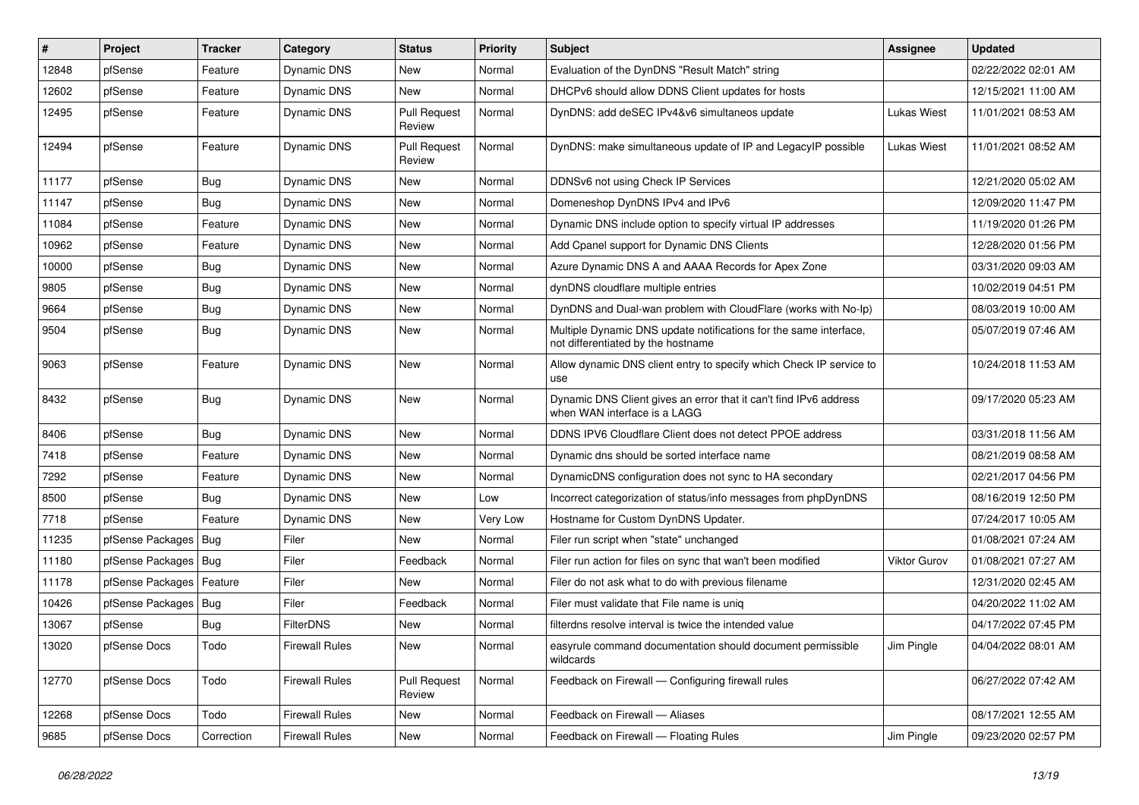| #     | Project                    | <b>Tracker</b> | Category              | <b>Status</b>                 | <b>Priority</b> | Subject                                                                                                 | <b>Assignee</b>     | <b>Updated</b>      |
|-------|----------------------------|----------------|-----------------------|-------------------------------|-----------------|---------------------------------------------------------------------------------------------------------|---------------------|---------------------|
| 12848 | pfSense                    | Feature        | Dynamic DNS           | New                           | Normal          | Evaluation of the DynDNS "Result Match" string                                                          |                     | 02/22/2022 02:01 AM |
| 12602 | pfSense                    | Feature        | Dynamic DNS           | <b>New</b>                    | Normal          | DHCPv6 should allow DDNS Client updates for hosts                                                       |                     | 12/15/2021 11:00 AM |
| 12495 | pfSense                    | Feature        | Dynamic DNS           | <b>Pull Request</b><br>Review | Normal          | DynDNS: add deSEC IPv4&v6 simultaneos update                                                            | <b>Lukas Wiest</b>  | 11/01/2021 08:53 AM |
| 12494 | pfSense                    | Feature        | Dynamic DNS           | <b>Pull Request</b><br>Review | Normal          | DynDNS: make simultaneous update of IP and LegacyIP possible                                            | <b>Lukas Wiest</b>  | 11/01/2021 08:52 AM |
| 11177 | pfSense                    | <b>Bug</b>     | Dynamic DNS           | New                           | Normal          | DDNSv6 not using Check IP Services                                                                      |                     | 12/21/2020 05:02 AM |
| 11147 | pfSense                    | <b>Bug</b>     | Dynamic DNS           | <b>New</b>                    | Normal          | Domeneshop DynDNS IPv4 and IPv6                                                                         |                     | 12/09/2020 11:47 PM |
| 11084 | pfSense                    | Feature        | Dynamic DNS           | New                           | Normal          | Dynamic DNS include option to specify virtual IP addresses                                              |                     | 11/19/2020 01:26 PM |
| 10962 | pfSense                    | Feature        | Dynamic DNS           | <b>New</b>                    | Normal          | Add Cpanel support for Dynamic DNS Clients                                                              |                     | 12/28/2020 01:56 PM |
| 10000 | pfSense                    | Bug            | Dynamic DNS           | New                           | Normal          | Azure Dynamic DNS A and AAAA Records for Apex Zone                                                      |                     | 03/31/2020 09:03 AM |
| 9805  | pfSense                    | <b>Bug</b>     | Dynamic DNS           | New                           | Normal          | dynDNS cloudflare multiple entries                                                                      |                     | 10/02/2019 04:51 PM |
| 9664  | pfSense                    | <b>Bug</b>     | Dynamic DNS           | <b>New</b>                    | Normal          | DynDNS and Dual-wan problem with CloudFlare (works with No-Ip)                                          |                     | 08/03/2019 10:00 AM |
| 9504  | pfSense                    | <b>Bug</b>     | Dynamic DNS           | New                           | Normal          | Multiple Dynamic DNS update notifications for the same interface,<br>not differentiated by the hostname |                     | 05/07/2019 07:46 AM |
| 9063  | pfSense                    | Feature        | Dynamic DNS           | New                           | Normal          | Allow dynamic DNS client entry to specify which Check IP service to<br>use                              |                     | 10/24/2018 11:53 AM |
| 8432  | pfSense                    | Bug            | Dynamic DNS           | <b>New</b>                    | Normal          | Dynamic DNS Client gives an error that it can't find IPv6 address<br>when WAN interface is a LAGG       |                     | 09/17/2020 05:23 AM |
| 8406  | pfSense                    | <b>Bug</b>     | Dynamic DNS           | <b>New</b>                    | Normal          | DDNS IPV6 Cloudflare Client does not detect PPOE address                                                |                     | 03/31/2018 11:56 AM |
| 7418  | pfSense                    | Feature        | Dynamic DNS           | <b>New</b>                    | Normal          | Dynamic dns should be sorted interface name                                                             |                     | 08/21/2019 08:58 AM |
| 7292  | pfSense                    | Feature        | Dynamic DNS           | New                           | Normal          | DynamicDNS configuration does not sync to HA secondary                                                  |                     | 02/21/2017 04:56 PM |
| 8500  | pfSense                    | Bug            | Dynamic DNS           | New                           | Low             | Incorrect categorization of status/info messages from phpDynDNS                                         |                     | 08/16/2019 12:50 PM |
| 7718  | pfSense                    | Feature        | Dynamic DNS           | New                           | Very Low        | Hostname for Custom DynDNS Updater.                                                                     |                     | 07/24/2017 10:05 AM |
| 11235 | pfSense Packages   Bug     |                | Filer                 | New                           | Normal          | Filer run script when "state" unchanged                                                                 |                     | 01/08/2021 07:24 AM |
| 11180 | pfSense Packages   Bug     |                | Filer                 | Feedback                      | Normal          | Filer run action for files on sync that wan't been modified                                             | <b>Viktor Gurov</b> | 01/08/2021 07:27 AM |
| 11178 | pfSense Packages   Feature |                | Filer                 | New                           | Normal          | Filer do not ask what to do with previous filename                                                      |                     | 12/31/2020 02:45 AM |
| 10426 | pfSense Packages   Bug     |                | Filer                 | Feedback                      | Normal          | Filer must validate that File name is uniq                                                              |                     | 04/20/2022 11:02 AM |
| 13067 | pfSense                    | <b>Bug</b>     | FilterDNS             | <b>New</b>                    | Normal          | filterdns resolve interval is twice the intended value                                                  |                     | 04/17/2022 07:45 PM |
| 13020 | pfSense Docs               | Todo           | <b>Firewall Rules</b> | New                           | Normal          | easyrule command documentation should document permissible<br>wildcards                                 | Jim Pingle          | 04/04/2022 08:01 AM |
| 12770 | pfSense Docs               | Todo           | <b>Firewall Rules</b> | <b>Pull Request</b><br>Review | Normal          | Feedback on Firewall - Configuring firewall rules                                                       |                     | 06/27/2022 07:42 AM |
| 12268 | pfSense Docs               | Todo           | <b>Firewall Rules</b> | New                           | Normal          | Feedback on Firewall - Aliases                                                                          |                     | 08/17/2021 12:55 AM |
| 9685  | pfSense Docs               | Correction     | <b>Firewall Rules</b> | New                           | Normal          | Feedback on Firewall - Floating Rules                                                                   | Jim Pingle          | 09/23/2020 02:57 PM |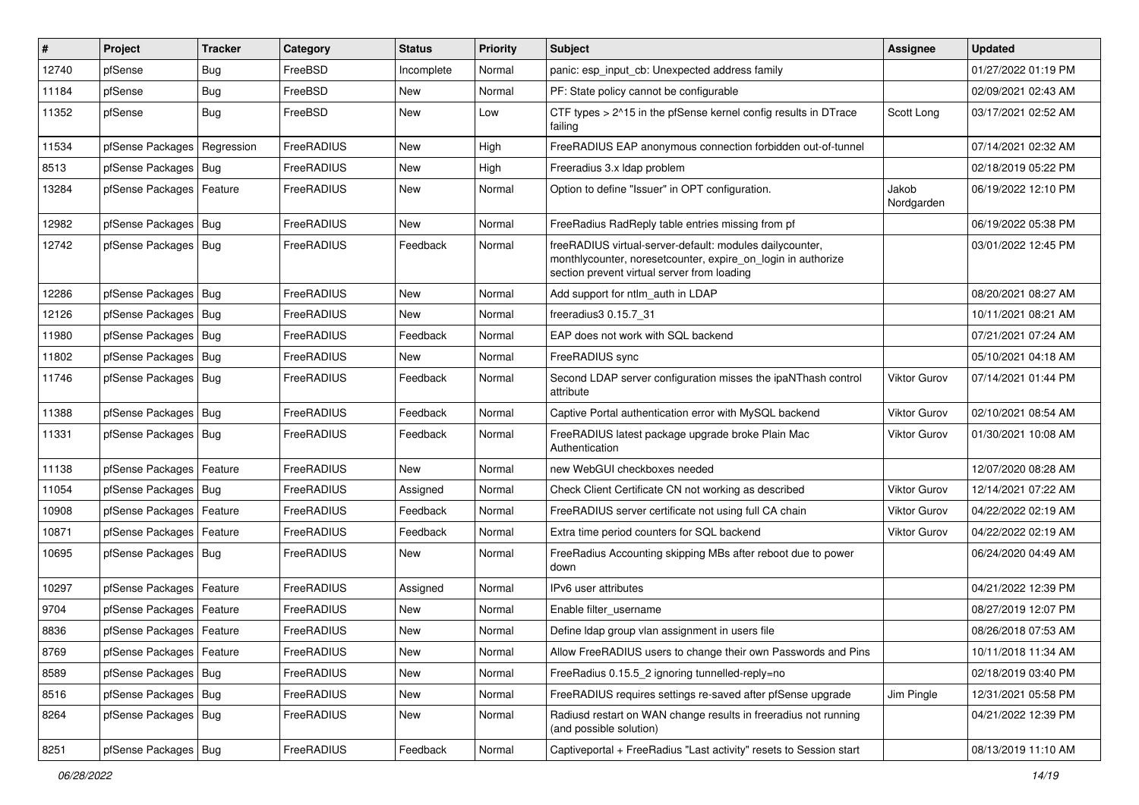| $\vert$ # | Project                    | <b>Tracker</b> | Category   | <b>Status</b> | <b>Priority</b> | Subject                                                                                                                                                                 | <b>Assignee</b>     | <b>Updated</b>      |
|-----------|----------------------------|----------------|------------|---------------|-----------------|-------------------------------------------------------------------------------------------------------------------------------------------------------------------------|---------------------|---------------------|
| 12740     | pfSense                    | <b>Bug</b>     | FreeBSD    | Incomplete    | Normal          | panic: esp input cb: Unexpected address family                                                                                                                          |                     | 01/27/2022 01:19 PM |
| 11184     | pfSense                    | <b>Bug</b>     | FreeBSD    | New           | Normal          | PF: State policy cannot be configurable                                                                                                                                 |                     | 02/09/2021 02:43 AM |
| 11352     | pfSense                    | Bug            | FreeBSD    | New           | Low             | CTF types > 2^15 in the pfSense kernel config results in DTrace<br>failing                                                                                              | Scott Long          | 03/17/2021 02:52 AM |
| 11534     | pfSense Packages           | Regression     | FreeRADIUS | New           | High            | FreeRADIUS EAP anonymous connection forbidden out-of-tunnel                                                                                                             |                     | 07/14/2021 02:32 AM |
| 8513      | pfSense Packages           | Bug            | FreeRADIUS | New           | High            | Freeradius 3.x Idap problem                                                                                                                                             |                     | 02/18/2019 05:22 PM |
| 13284     | pfSense Packages   Feature |                | FreeRADIUS | New           | Normal          | Option to define "Issuer" in OPT configuration.                                                                                                                         | Jakob<br>Nordgarden | 06/19/2022 12:10 PM |
| 12982     | pfSense Packages           | Bug            | FreeRADIUS | New           | Normal          | FreeRadius RadReply table entries missing from pf                                                                                                                       |                     | 06/19/2022 05:38 PM |
| 12742     | pfSense Packages   Bug     |                | FreeRADIUS | Feedback      | Normal          | freeRADIUS virtual-server-default: modules dailycounter,<br>monthlycounter, noresetcounter, expire_on_login in authorize<br>section prevent virtual server from loading |                     | 03/01/2022 12:45 PM |
| 12286     | pfSense Packages           | Bug            | FreeRADIUS | <b>New</b>    | Normal          | Add support for ntlm auth in LDAP                                                                                                                                       |                     | 08/20/2021 08:27 AM |
| 12126     | pfSense Packages           | Bug            | FreeRADIUS | <b>New</b>    | Normal          | freeradius3 0.15.7 31                                                                                                                                                   |                     | 10/11/2021 08:21 AM |
| 11980     | pfSense Packages   Bug     |                | FreeRADIUS | Feedback      | Normal          | EAP does not work with SQL backend                                                                                                                                      |                     | 07/21/2021 07:24 AM |
| 11802     | pfSense Packages           | Bug            | FreeRADIUS | <b>New</b>    | Normal          | FreeRADIUS sync                                                                                                                                                         |                     | 05/10/2021 04:18 AM |
| 11746     | pfSense Packages           | Bug            | FreeRADIUS | Feedback      | Normal          | Second LDAP server configuration misses the ipaNThash control<br>attribute                                                                                              | <b>Viktor Gurov</b> | 07/14/2021 01:44 PM |
| 11388     | pfSense Packages           | <b>Bug</b>     | FreeRADIUS | Feedback      | Normal          | Captive Portal authentication error with MySQL backend                                                                                                                  | <b>Viktor Gurov</b> | 02/10/2021 08:54 AM |
| 11331     | pfSense Packages   Bug     |                | FreeRADIUS | Feedback      | Normal          | FreeRADIUS latest package upgrade broke Plain Mac<br>Authentication                                                                                                     | Viktor Gurov        | 01/30/2021 10:08 AM |
| 11138     | pfSense Packages           | Feature        | FreeRADIUS | <b>New</b>    | Normal          | new WebGUI checkboxes needed                                                                                                                                            |                     | 12/07/2020 08:28 AM |
| 11054     | pfSense Packages   Bug     |                | FreeRADIUS | Assigned      | Normal          | Check Client Certificate CN not working as described                                                                                                                    | <b>Viktor Gurov</b> | 12/14/2021 07:22 AM |
| 10908     | pfSense Packages           | Feature        | FreeRADIUS | Feedback      | Normal          | FreeRADIUS server certificate not using full CA chain                                                                                                                   | <b>Viktor Gurov</b> | 04/22/2022 02:19 AM |
| 10871     | pfSense Packages           | Feature        | FreeRADIUS | Feedback      | Normal          | Extra time period counters for SQL backend                                                                                                                              | Viktor Gurov        | 04/22/2022 02:19 AM |
| 10695     | pfSense Packages   Bug     |                | FreeRADIUS | New           | Normal          | FreeRadius Accounting skipping MBs after reboot due to power<br>down                                                                                                    |                     | 06/24/2020 04:49 AM |
| 10297     | pfSense Packages           | Feature        | FreeRADIUS | Assigned      | Normal          | IPv6 user attributes                                                                                                                                                    |                     | 04/21/2022 12:39 PM |
| 9704      | pfSense Packages           | Feature        | FreeRADIUS | New           | Normal          | Enable filter username                                                                                                                                                  |                     | 08/27/2019 12:07 PM |
| 8836      | pfSense Packages           | Feature        | FreeRADIUS | <b>New</b>    | Normal          | Define Idap group vlan assignment in users file                                                                                                                         |                     | 08/26/2018 07:53 AM |
| 8769      | pfSense Packages   Feature |                | FreeRADIUS | New           | Normal          | Allow FreeRADIUS users to change their own Passwords and Pins                                                                                                           |                     | 10/11/2018 11:34 AM |
| 8589      | pfSense Packages           | <b>Bug</b>     | FreeRADIUS | New           | Normal          | FreeRadius 0.15.5_2 ignoring tunnelled-reply=no                                                                                                                         |                     | 02/18/2019 03:40 PM |
| 8516      | pfSense Packages   Bug     |                | FreeRADIUS | New           | Normal          | FreeRADIUS requires settings re-saved after pfSense upgrade                                                                                                             | Jim Pingle          | 12/31/2021 05:58 PM |
| 8264      | pfSense Packages   Bug     |                | FreeRADIUS | New           | Normal          | Radiusd restart on WAN change results in freeradius not running<br>(and possible solution)                                                                              |                     | 04/21/2022 12:39 PM |
| 8251      | pfSense Packages   Bug     |                | FreeRADIUS | Feedback      | Normal          | Captiveportal + FreeRadius "Last activity" resets to Session start                                                                                                      |                     | 08/13/2019 11:10 AM |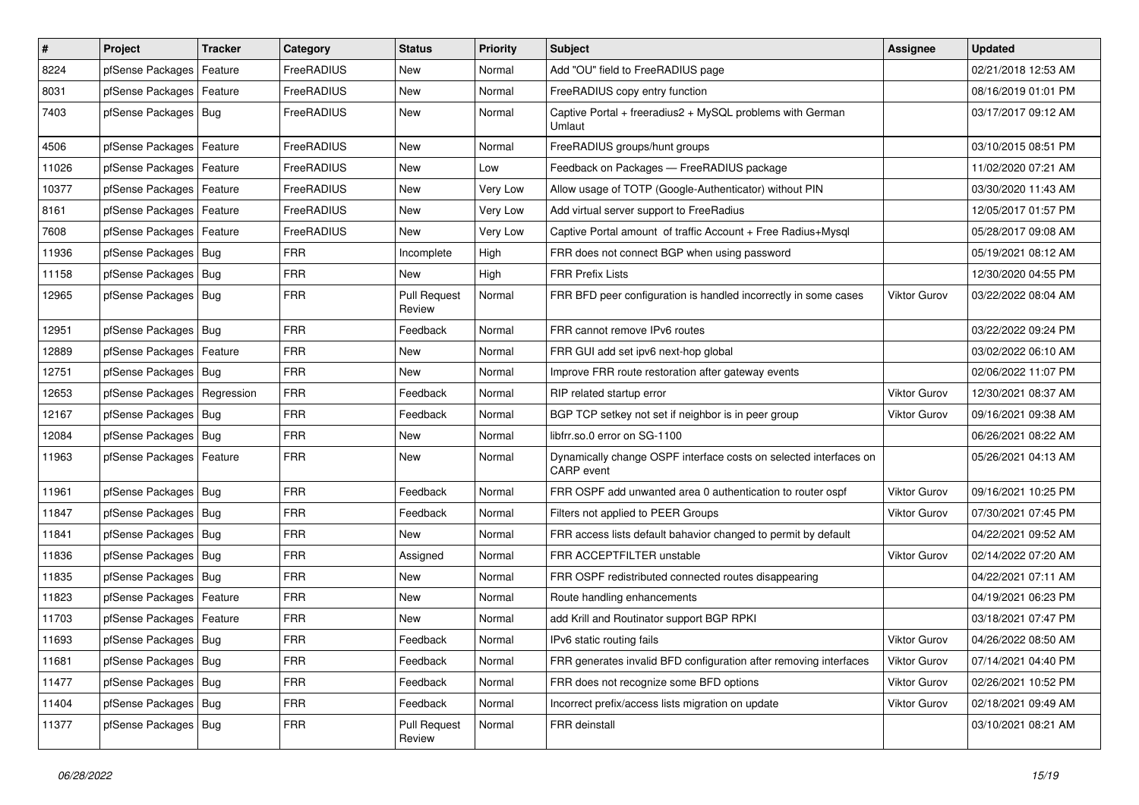| #     | Project                       | <b>Tracker</b> | Category          | <b>Status</b>                 | <b>Priority</b> | Subject                                                                         | <b>Assignee</b>     | <b>Updated</b>      |
|-------|-------------------------------|----------------|-------------------|-------------------------------|-----------------|---------------------------------------------------------------------------------|---------------------|---------------------|
| 8224  | pfSense Packages              | Feature        | FreeRADIUS        | New                           | Normal          | Add "OU" field to FreeRADIUS page                                               |                     | 02/21/2018 12:53 AM |
| 8031  | pfSense Packages   Feature    |                | FreeRADIUS        | New                           | Normal          | FreeRADIUS copy entry function                                                  |                     | 08/16/2019 01:01 PM |
| 7403  | pfSense Packages   Bug        |                | FreeRADIUS        | New                           | Normal          | Captive Portal + freeradius2 + MySQL problems with German<br>Umlaut             |                     | 03/17/2017 09:12 AM |
| 4506  | pfSense Packages   Feature    |                | FreeRADIUS        | New                           | Normal          | FreeRADIUS groups/hunt groups                                                   |                     | 03/10/2015 08:51 PM |
| 11026 | pfSense Packages   Feature    |                | FreeRADIUS        | New                           | Low             | Feedback on Packages - FreeRADIUS package                                       |                     | 11/02/2020 07:21 AM |
| 10377 | pfSense Packages   Feature    |                | FreeRADIUS        | New                           | Very Low        | Allow usage of TOTP (Google-Authenticator) without PIN                          |                     | 03/30/2020 11:43 AM |
| 8161  | pfSense Packages   Feature    |                | FreeRADIUS        | New                           | Very Low        | Add virtual server support to FreeRadius                                        |                     | 12/05/2017 01:57 PM |
| 7608  | pfSense Packages   Feature    |                | <b>FreeRADIUS</b> | New                           | Very Low        | Captive Portal amount of traffic Account + Free Radius+Mysql                    |                     | 05/28/2017 09:08 AM |
| 11936 | pfSense Packages   Bug        |                | <b>FRR</b>        | Incomplete                    | High            | FRR does not connect BGP when using password                                    |                     | 05/19/2021 08:12 AM |
| 11158 | pfSense Packages   Bug        |                | <b>FRR</b>        | New                           | High            | <b>FRR Prefix Lists</b>                                                         |                     | 12/30/2020 04:55 PM |
| 12965 | pfSense Packages   Bug        |                | <b>FRR</b>        | <b>Pull Request</b><br>Review | Normal          | FRR BFD peer configuration is handled incorrectly in some cases                 | <b>Viktor Gurov</b> | 03/22/2022 08:04 AM |
| 12951 | pfSense Packages   Bug        |                | <b>FRR</b>        | Feedback                      | Normal          | FRR cannot remove IPv6 routes                                                   |                     | 03/22/2022 09:24 PM |
| 12889 | pfSense Packages   Feature    |                | <b>FRR</b>        | New                           | Normal          | FRR GUI add set ipv6 next-hop global                                            |                     | 03/02/2022 06:10 AM |
| 12751 | pfSense Packages   Bug        |                | <b>FRR</b>        | <b>New</b>                    | Normal          | Improve FRR route restoration after gateway events                              |                     | 02/06/2022 11:07 PM |
| 12653 | pfSense Packages   Regression |                | <b>FRR</b>        | Feedback                      | Normal          | RIP related startup error                                                       | <b>Viktor Gurov</b> | 12/30/2021 08:37 AM |
| 12167 | pfSense Packages   Bug        |                | <b>FRR</b>        | Feedback                      | Normal          | BGP TCP setkey not set if neighbor is in peer group                             | <b>Viktor Gurov</b> | 09/16/2021 09:38 AM |
| 12084 | pfSense Packages   Bug        |                | <b>FRR</b>        | New                           | Normal          | libfrr.so.0 error on SG-1100                                                    |                     | 06/26/2021 08:22 AM |
| 11963 | pfSense Packages   Feature    |                | <b>FRR</b>        | New                           | Normal          | Dynamically change OSPF interface costs on selected interfaces on<br>CARP event |                     | 05/26/2021 04:13 AM |
| 11961 | pfSense Packages   Bug        |                | <b>FRR</b>        | Feedback                      | Normal          | FRR OSPF add unwanted area 0 authentication to router ospf                      | <b>Viktor Gurov</b> | 09/16/2021 10:25 PM |
| 11847 | pfSense Packages   Bug        |                | <b>FRR</b>        | Feedback                      | Normal          | Filters not applied to PEER Groups                                              | <b>Viktor Gurov</b> | 07/30/2021 07:45 PM |
| 11841 | pfSense Packages   Bug        |                | <b>FRR</b>        | New                           | Normal          | FRR access lists default bahavior changed to permit by default                  |                     | 04/22/2021 09:52 AM |
| 11836 | pfSense Packages   Bug        |                | <b>FRR</b>        | Assigned                      | Normal          | FRR ACCEPTFILTER unstable                                                       | Viktor Gurov        | 02/14/2022 07:20 AM |
| 11835 | pfSense Packages   Bug        |                | <b>FRR</b>        | New                           | Normal          | FRR OSPF redistributed connected routes disappearing                            |                     | 04/22/2021 07:11 AM |
| 11823 | pfSense Packages   Feature    |                | FRR               | New                           | Normal          | Route handling enhancements                                                     |                     | 04/19/2021 06:23 PM |
| 11703 | pfSense Packages   Feature    |                | <b>FRR</b>        | New                           | Normal          | add Krill and Routinator support BGP RPKI                                       |                     | 03/18/2021 07:47 PM |
| 11693 | pfSense Packages   Bug        |                | FRR               | Feedback                      | Normal          | IPv6 static routing fails                                                       | Viktor Gurov        | 04/26/2022 08:50 AM |
| 11681 | pfSense Packages   Bug        |                | <b>FRR</b>        | Feedback                      | Normal          | FRR generates invalid BFD configuration after removing interfaces               | Viktor Gurov        | 07/14/2021 04:40 PM |
| 11477 | pfSense Packages   Bug        |                | <b>FRR</b>        | Feedback                      | Normal          | FRR does not recognize some BFD options                                         | Viktor Gurov        | 02/26/2021 10:52 PM |
| 11404 | pfSense Packages   Bug        |                | FRR               | Feedback                      | Normal          | Incorrect prefix/access lists migration on update                               | Viktor Gurov        | 02/18/2021 09:49 AM |
| 11377 | pfSense Packages   Bug        |                | <b>FRR</b>        | <b>Pull Request</b><br>Review | Normal          | FRR deinstall                                                                   |                     | 03/10/2021 08:21 AM |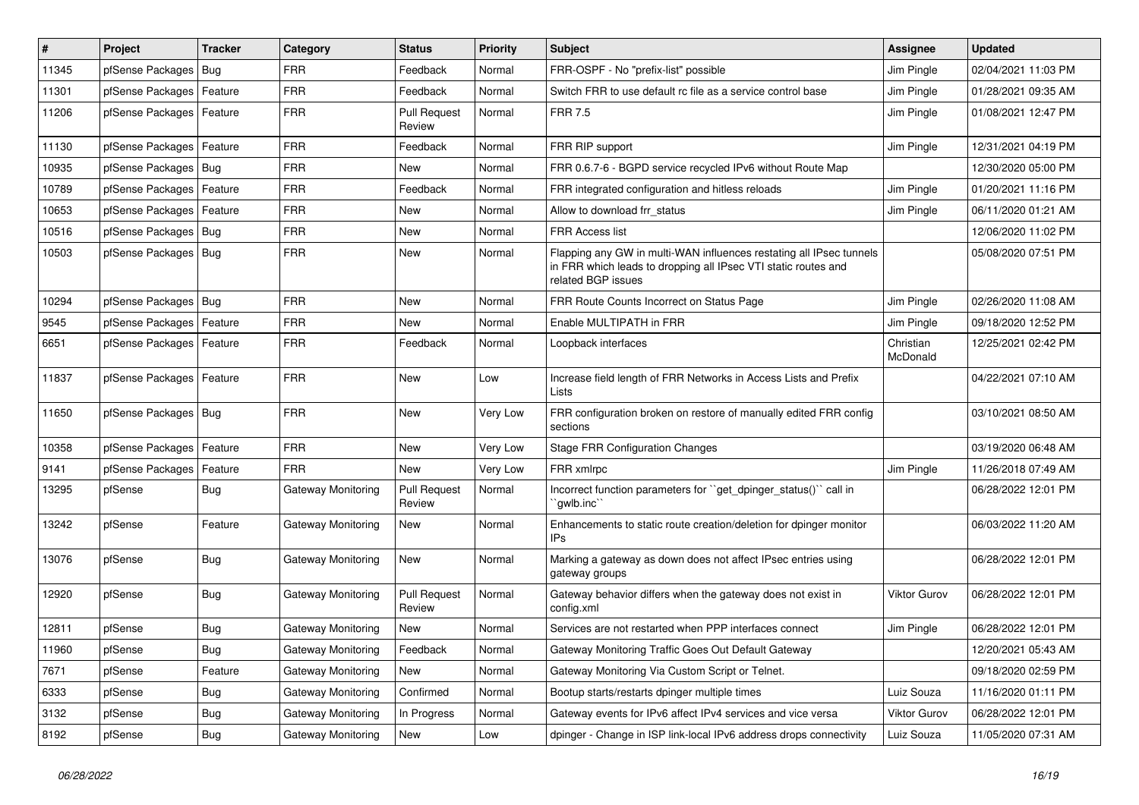| $\vert$ # | Project                | <b>Tracker</b> | Category           | <b>Status</b>                 | <b>Priority</b> | <b>Subject</b>                                                                                                                                              | Assignee              | <b>Updated</b>      |
|-----------|------------------------|----------------|--------------------|-------------------------------|-----------------|-------------------------------------------------------------------------------------------------------------------------------------------------------------|-----------------------|---------------------|
| 11345     | pfSense Packages       | Bug            | <b>FRR</b>         | Feedback                      | Normal          | FRR-OSPF - No "prefix-list" possible                                                                                                                        | Jim Pingle            | 02/04/2021 11:03 PM |
| 11301     | pfSense Packages       | Feature        | <b>FRR</b>         | Feedback                      | Normal          | Switch FRR to use default rc file as a service control base                                                                                                 | Jim Pingle            | 01/28/2021 09:35 AM |
| 11206     | pfSense Packages       | Feature        | <b>FRR</b>         | <b>Pull Request</b><br>Review | Normal          | <b>FRR 7.5</b>                                                                                                                                              | Jim Pingle            | 01/08/2021 12:47 PM |
| 11130     | pfSense Packages       | Feature        | <b>FRR</b>         | Feedback                      | Normal          | FRR RIP support                                                                                                                                             | Jim Pingle            | 12/31/2021 04:19 PM |
| 10935     | pfSense Packages       | Bug            | <b>FRR</b>         | <b>New</b>                    | Normal          | FRR 0.6.7-6 - BGPD service recycled IPv6 without Route Map                                                                                                  |                       | 12/30/2020 05:00 PM |
| 10789     | pfSense Packages       | Feature        | <b>FRR</b>         | Feedback                      | Normal          | FRR integrated configuration and hitless reloads                                                                                                            | Jim Pingle            | 01/20/2021 11:16 PM |
| 10653     | pfSense Packages       | Feature        | <b>FRR</b>         | New                           | Normal          | Allow to download frr_status                                                                                                                                | Jim Pingle            | 06/11/2020 01:21 AM |
| 10516     | pfSense Packages       | Bug            | <b>FRR</b>         | New                           | Normal          | <b>FRR Access list</b>                                                                                                                                      |                       | 12/06/2020 11:02 PM |
| 10503     | pfSense Packages   Bug |                | <b>FRR</b>         | <b>New</b>                    | Normal          | Flapping any GW in multi-WAN influences restating all IPsec tunnels<br>in FRR which leads to dropping all IPsec VTI static routes and<br>related BGP issues |                       | 05/08/2020 07:51 PM |
| 10294     | pfSense Packages       | Bug            | <b>FRR</b>         | <b>New</b>                    | Normal          | FRR Route Counts Incorrect on Status Page                                                                                                                   | Jim Pingle            | 02/26/2020 11:08 AM |
| 9545      | pfSense Packages       | Feature        | FRR                | <b>New</b>                    | Normal          | Enable MULTIPATH in FRR                                                                                                                                     | Jim Pingle            | 09/18/2020 12:52 PM |
| 6651      | pfSense Packages       | Feature        | <b>FRR</b>         | Feedback                      | Normal          | Loopback interfaces                                                                                                                                         | Christian<br>McDonald | 12/25/2021 02:42 PM |
| 11837     | pfSense Packages       | Feature        | <b>FRR</b>         | New                           | Low             | Increase field length of FRR Networks in Access Lists and Prefix<br><b>Lists</b>                                                                            |                       | 04/22/2021 07:10 AM |
| 11650     | pfSense Packages   Bug |                | <b>FRR</b>         | <b>New</b>                    | Very Low        | FRR configuration broken on restore of manually edited FRR config<br>sections                                                                               |                       | 03/10/2021 08:50 AM |
| 10358     | pfSense Packages       | Feature        | <b>FRR</b>         | <b>New</b>                    | Very Low        | <b>Stage FRR Configuration Changes</b>                                                                                                                      |                       | 03/19/2020 06:48 AM |
| 9141      | pfSense Packages       | Feature        | <b>FRR</b>         | New                           | Very Low        | FRR xmlrpc                                                                                                                                                  | Jim Pingle            | 11/26/2018 07:49 AM |
| 13295     | pfSense                | <b>Bug</b>     | Gateway Monitoring | <b>Pull Request</b><br>Review | Normal          | Incorrect function parameters for "get dpinger status()" call in<br>`qwlb.inc``                                                                             |                       | 06/28/2022 12:01 PM |
| 13242     | pfSense                | Feature        | Gateway Monitoring | <b>New</b>                    | Normal          | Enhancements to static route creation/deletion for dpinger monitor<br>IPs                                                                                   |                       | 06/03/2022 11:20 AM |
| 13076     | pfSense                | <b>Bug</b>     | Gateway Monitoring | New                           | Normal          | Marking a gateway as down does not affect IPsec entries using<br>gateway groups                                                                             |                       | 06/28/2022 12:01 PM |
| 12920     | pfSense                | <b>Bug</b>     | Gateway Monitoring | <b>Pull Request</b><br>Review | Normal          | Gateway behavior differs when the gateway does not exist in<br>config.xml                                                                                   | <b>Viktor Gurov</b>   | 06/28/2022 12:01 PM |
| 12811     | pfSense                | <b>Bug</b>     | Gateway Monitoring | <b>New</b>                    | Normal          | Services are not restarted when PPP interfaces connect                                                                                                      | Jim Pingle            | 06/28/2022 12:01 PM |
| 11960     | pfSense                | <b>Bug</b>     | Gateway Monitoring | Feedback                      | Normal          | Gateway Monitoring Traffic Goes Out Default Gateway                                                                                                         |                       | 12/20/2021 05:43 AM |
| 7671      | pfSense                | Feature        | Gateway Monitoring | <b>New</b>                    | Normal          | Gateway Monitoring Via Custom Script or Telnet.                                                                                                             |                       | 09/18/2020 02:59 PM |
| 6333      | pfSense                | <b>Bug</b>     | Gateway Monitoring | Confirmed                     | Normal          | Bootup starts/restarts dpinger multiple times                                                                                                               | Luiz Souza            | 11/16/2020 01:11 PM |
| 3132      | pfSense                | <b>Bug</b>     | Gateway Monitoring | In Progress                   | Normal          | Gateway events for IPv6 affect IPv4 services and vice versa                                                                                                 | <b>Viktor Gurov</b>   | 06/28/2022 12:01 PM |
| 8192      | pfSense                | Bug            | Gateway Monitoring | <b>New</b>                    | Low             | dpinger - Change in ISP link-local IPv6 address drops connectivity                                                                                          | Luiz Souza            | 11/05/2020 07:31 AM |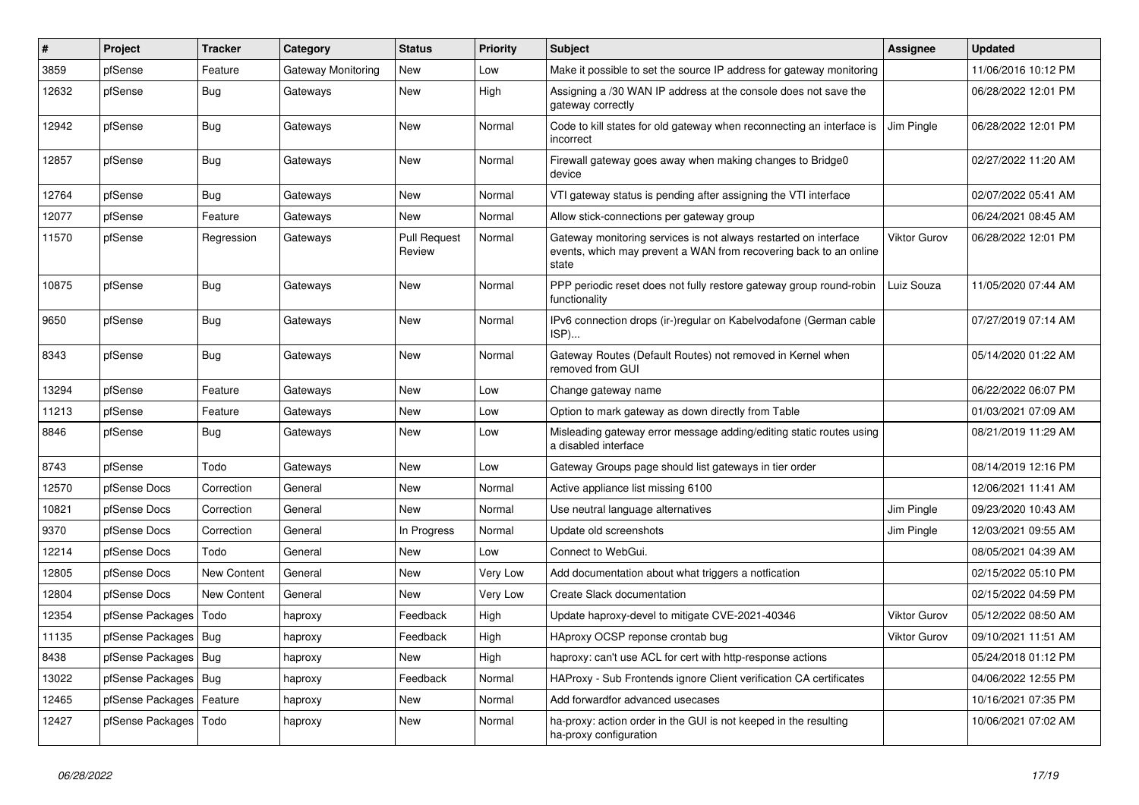| #     | Project          | <b>Tracker</b> | Category           | <b>Status</b>                 | <b>Priority</b> | <b>Subject</b>                                                                                                                                 | Assignee            | <b>Updated</b>      |
|-------|------------------|----------------|--------------------|-------------------------------|-----------------|------------------------------------------------------------------------------------------------------------------------------------------------|---------------------|---------------------|
| 3859  | pfSense          | Feature        | Gateway Monitoring | <b>New</b>                    | Low             | Make it possible to set the source IP address for gateway monitoring                                                                           |                     | 11/06/2016 10:12 PM |
| 12632 | pfSense          | Bug            | Gateways           | <b>New</b>                    | High            | Assigning a /30 WAN IP address at the console does not save the<br>gateway correctly                                                           |                     | 06/28/2022 12:01 PM |
| 12942 | pfSense          | <b>Bug</b>     | Gateways           | <b>New</b>                    | Normal          | Code to kill states for old gateway when reconnecting an interface is<br>incorrect                                                             | Jim Pingle          | 06/28/2022 12:01 PM |
| 12857 | pfSense          | Bug            | Gateways           | New                           | Normal          | Firewall gateway goes away when making changes to Bridge0<br>device                                                                            |                     | 02/27/2022 11:20 AM |
| 12764 | pfSense          | <b>Bug</b>     | Gateways           | <b>New</b>                    | Normal          | VTI gateway status is pending after assigning the VTI interface                                                                                |                     | 02/07/2022 05:41 AM |
| 12077 | pfSense          | Feature        | Gateways           | <b>New</b>                    | Normal          | Allow stick-connections per gateway group                                                                                                      |                     | 06/24/2021 08:45 AM |
| 11570 | pfSense          | Regression     | Gateways           | <b>Pull Request</b><br>Review | Normal          | Gateway monitoring services is not always restarted on interface<br>events, which may prevent a WAN from recovering back to an online<br>state | <b>Viktor Gurov</b> | 06/28/2022 12:01 PM |
| 10875 | pfSense          | Bug            | Gateways           | New                           | Normal          | PPP periodic reset does not fully restore gateway group round-robin<br>functionality                                                           | Luiz Souza          | 11/05/2020 07:44 AM |
| 9650  | pfSense          | <b>Bug</b>     | Gateways           | <b>New</b>                    | Normal          | IPv6 connection drops (ir-)regular on Kabelvodafone (German cable<br>ISP)                                                                      |                     | 07/27/2019 07:14 AM |
| 8343  | pfSense          | <b>Bug</b>     | Gateways           | New                           | Normal          | Gateway Routes (Default Routes) not removed in Kernel when<br>removed from GUI                                                                 |                     | 05/14/2020 01:22 AM |
| 13294 | pfSense          | Feature        | Gateways           | <b>New</b>                    | Low             | Change gateway name                                                                                                                            |                     | 06/22/2022 06:07 PM |
| 11213 | pfSense          | Feature        | Gateways           | <b>New</b>                    | Low             | Option to mark gateway as down directly from Table                                                                                             |                     | 01/03/2021 07:09 AM |
| 8846  | pfSense          | Bug            | Gateways           | <b>New</b>                    | Low             | Misleading gateway error message adding/editing static routes using<br>a disabled interface                                                    |                     | 08/21/2019 11:29 AM |
| 8743  | pfSense          | Todo           | Gateways           | <b>New</b>                    | Low             | Gateway Groups page should list gateways in tier order                                                                                         |                     | 08/14/2019 12:16 PM |
| 12570 | pfSense Docs     | Correction     | General            | <b>New</b>                    | Normal          | Active appliance list missing 6100                                                                                                             |                     | 12/06/2021 11:41 AM |
| 10821 | pfSense Docs     | Correction     | General            | <b>New</b>                    | Normal          | Use neutral language alternatives                                                                                                              | Jim Pingle          | 09/23/2020 10:43 AM |
| 9370  | pfSense Docs     | Correction     | General            | In Progress                   | Normal          | Update old screenshots                                                                                                                         | Jim Pingle          | 12/03/2021 09:55 AM |
| 12214 | pfSense Docs     | Todo           | General            | <b>New</b>                    | Low             | Connect to WebGui.                                                                                                                             |                     | 08/05/2021 04:39 AM |
| 12805 | pfSense Docs     | New Content    | General            | New                           | Very Low        | Add documentation about what triggers a notfication                                                                                            |                     | 02/15/2022 05:10 PM |
| 12804 | pfSense Docs     | New Content    | General            | <b>New</b>                    | Very Low        | Create Slack documentation                                                                                                                     |                     | 02/15/2022 04:59 PM |
| 12354 | pfSense Packages | Todo           | haproxy            | Feedback                      | High            | Update haproxy-devel to mitigate CVE-2021-40346                                                                                                | <b>Viktor Gurov</b> | 05/12/2022 08:50 AM |
| 11135 | pfSense Packages | <b>Bug</b>     | haproxy            | Feedback                      | High            | HAproxy OCSP reponse crontab bug                                                                                                               | <b>Viktor Gurov</b> | 09/10/2021 11:51 AM |
| 8438  | pfSense Packages | <b>Bug</b>     | haproxy            | <b>New</b>                    | High            | haproxy: can't use ACL for cert with http-response actions                                                                                     |                     | 05/24/2018 01:12 PM |
| 13022 | pfSense Packages | Bug            | haproxy            | Feedback                      | Normal          | HAProxy - Sub Frontends ignore Client verification CA certificates                                                                             |                     | 04/06/2022 12:55 PM |
| 12465 | pfSense Packages | Feature        | haproxy            | <b>New</b>                    | Normal          | Add forwardfor advanced usecases                                                                                                               |                     | 10/16/2021 07:35 PM |
| 12427 | pfSense Packages | Todo           | haproxy            | <b>New</b>                    | Normal          | ha-proxy: action order in the GUI is not keeped in the resulting<br>ha-proxy configuration                                                     |                     | 10/06/2021 07:02 AM |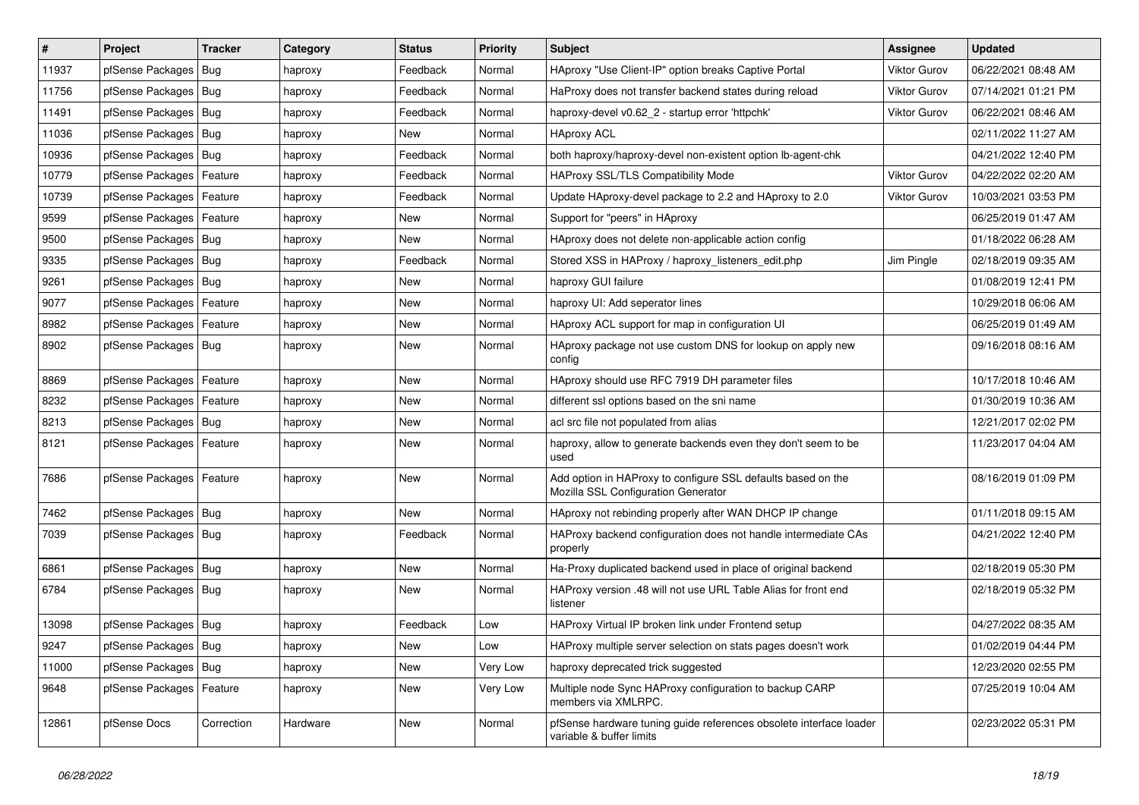| #     | Project                    | <b>Tracker</b> | Category | <b>Status</b> | <b>Priority</b> | <b>Subject</b>                                                                                      | Assignee            | <b>Updated</b>      |
|-------|----------------------------|----------------|----------|---------------|-----------------|-----------------------------------------------------------------------------------------------------|---------------------|---------------------|
| 11937 | pfSense Packages           | Bug            | haproxy  | Feedback      | Normal          | HAproxy "Use Client-IP" option breaks Captive Portal                                                | <b>Viktor Gurov</b> | 06/22/2021 08:48 AM |
| 11756 | pfSense Packages   Bug     |                | haproxy  | Feedback      | Normal          | HaProxy does not transfer backend states during reload                                              | <b>Viktor Gurov</b> | 07/14/2021 01:21 PM |
| 11491 | pfSense Packages           | Bug            | haproxy  | Feedback      | Normal          | haproxy-devel v0.62 2 - startup error 'httpchk'                                                     | Viktor Gurov        | 06/22/2021 08:46 AM |
| 11036 | pfSense Packages           | Bug            | haproxy  | New           | Normal          | <b>HAproxy ACL</b>                                                                                  |                     | 02/11/2022 11:27 AM |
| 10936 | pfSense Packages           | Bug            | haproxy  | Feedback      | Normal          | both haproxy/haproxy-devel non-existent option lb-agent-chk                                         |                     | 04/21/2022 12:40 PM |
| 10779 | pfSense Packages           | Feature        | haproxy  | Feedback      | Normal          | HAProxy SSL/TLS Compatibility Mode                                                                  | <b>Viktor Gurov</b> | 04/22/2022 02:20 AM |
| 10739 | pfSense Packages           | Feature        | haproxy  | Feedback      | Normal          | Update HAproxy-devel package to 2.2 and HAproxy to 2.0                                              | <b>Viktor Gurov</b> | 10/03/2021 03:53 PM |
| 9599  | pfSense Packages           | Feature        | haproxy  | New           | Normal          | Support for "peers" in HAproxy                                                                      |                     | 06/25/2019 01:47 AM |
| 9500  | pfSense Packages   Bug     |                | haproxy  | New           | Normal          | HAproxy does not delete non-applicable action config                                                |                     | 01/18/2022 06:28 AM |
| 9335  | pfSense Packages           | Bug            | haproxy  | Feedback      | Normal          | Stored XSS in HAProxy / haproxy_listeners_edit.php                                                  | Jim Pingle          | 02/18/2019 09:35 AM |
| 9261  | pfSense Packages   Bug     |                | haproxy  | New           | Normal          | haproxy GUI failure                                                                                 |                     | 01/08/2019 12:41 PM |
| 9077  | pfSense Packages   Feature |                | haproxy  | <b>New</b>    | Normal          | haproxy UI: Add seperator lines                                                                     |                     | 10/29/2018 06:06 AM |
| 8982  | pfSense Packages           | Feature        | haproxy  | <b>New</b>    | Normal          | HAproxy ACL support for map in configuration UI                                                     |                     | 06/25/2019 01:49 AM |
| 8902  | pfSense Packages           | Bug            | haproxy  | New           | Normal          | HAproxy package not use custom DNS for lookup on apply new<br>config                                |                     | 09/16/2018 08:16 AM |
| 8869  | pfSense Packages           | Feature        | haproxy  | <b>New</b>    | Normal          | HAproxy should use RFC 7919 DH parameter files                                                      |                     | 10/17/2018 10:46 AM |
| 8232  | pfSense Packages           | Feature        | haproxy  | New           | Normal          | different ssl options based on the sni name                                                         |                     | 01/30/2019 10:36 AM |
| 8213  | pfSense Packages           | <b>Bug</b>     | haproxy  | <b>New</b>    | Normal          | acl src file not populated from alias                                                               |                     | 12/21/2017 02:02 PM |
| 8121  | pfSense Packages           | Feature        | haproxy  | New           | Normal          | haproxy, allow to generate backends even they don't seem to be<br>used                              |                     | 11/23/2017 04:04 AM |
| 7686  | pfSense Packages           | Feature        | haproxy  | <b>New</b>    | Normal          | Add option in HAProxy to configure SSL defaults based on the<br>Mozilla SSL Configuration Generator |                     | 08/16/2019 01:09 PM |
| 7462  | pfSense Packages   Bug     |                | haproxy  | New           | Normal          | HAproxy not rebinding properly after WAN DHCP IP change                                             |                     | 01/11/2018 09:15 AM |
| 7039  | pfSense Packages           | Bug            | haproxy  | Feedback      | Normal          | HAProxy backend configuration does not handle intermediate CAs<br>properly                          |                     | 04/21/2022 12:40 PM |
| 6861  | pfSense Packages           | Bug            | haproxy  | <b>New</b>    | Normal          | Ha-Proxy duplicated backend used in place of original backend                                       |                     | 02/18/2019 05:30 PM |
| 6784  | pfSense Packages   Bug     |                | haproxy  | New           | Normal          | HAProxy version .48 will not use URL Table Alias for front end<br>listener                          |                     | 02/18/2019 05:32 PM |
| 13098 | pfSense Packages   Bug     |                | haproxy  | Feedback      | Low             | HAProxy Virtual IP broken link under Frontend setup                                                 |                     | 04/27/2022 08:35 AM |
| 9247  | pfSense Packages   Bug     |                | haproxy  | New           | Low             | HAProxy multiple server selection on stats pages doesn't work                                       |                     | 01/02/2019 04:44 PM |
| 11000 | pfSense Packages   Bug     |                | haproxy  | New           | Very Low        | haproxy deprecated trick suggested                                                                  |                     | 12/23/2020 02:55 PM |
| 9648  | pfSense Packages           | Feature        | haproxy  | New           | Very Low        | Multiple node Sync HAProxy configuration to backup CARP<br>members via XMLRPC.                      |                     | 07/25/2019 10:04 AM |
| 12861 | pfSense Docs               | Correction     | Hardware | New           | Normal          | pfSense hardware tuning guide references obsolete interface loader<br>variable & buffer limits      |                     | 02/23/2022 05:31 PM |